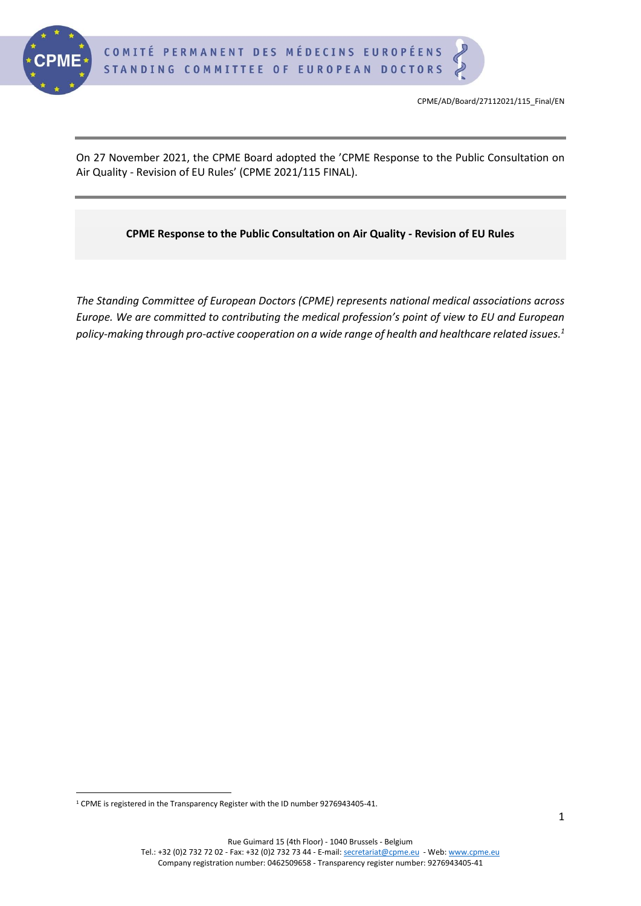

On 27 November 2021, the CPME Board adopted the 'CPME Response to the Public Consultation on Air Quality - Revision of EU Rules' (CPME 2021/115 FINAL).

#### **CPME Response to the Public Consultation on Air Quality - Revision of EU Rules**

*The Standing Committee of European Doctors (CPME) represents national medical associations across Europe. We are committed to contributing the medical profession's point of view to EU and European policy-making through pro-active cooperation on a wide range of health and healthcare related issues. 1*

<sup>1</sup> CPME is registered in the Transparency Register with the ID number 9276943405-41.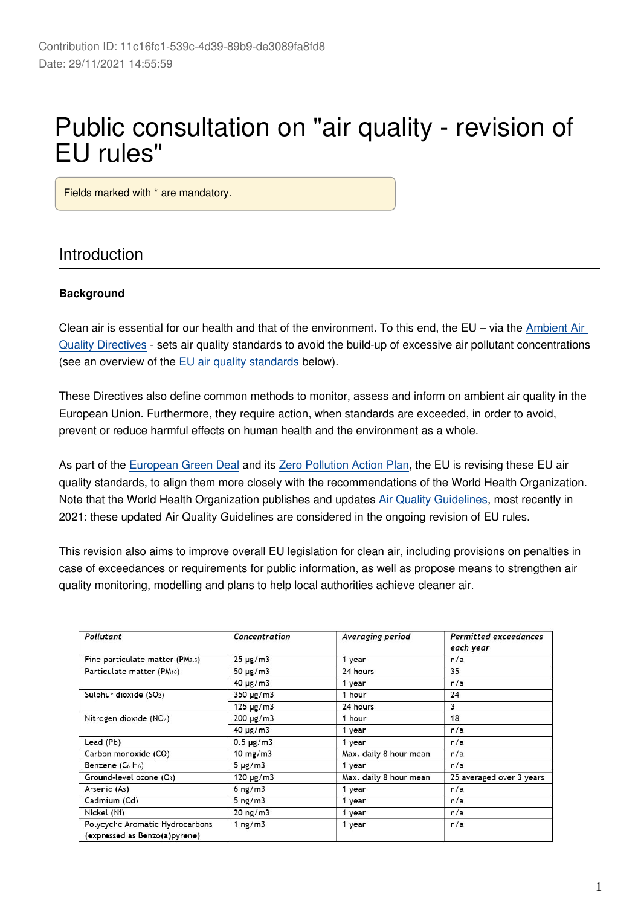# Public consultation on "air quality - revision of EU rules"

Fields marked with \* are mandatory.

#### Introduction

#### **Background**

Clean air is essential for our health and that of the environment. To this end, the EU – via the [Ambient Air](https://ec.europa.eu/environment/air/quality/existing_leg.htm)  [Quality Directives](https://ec.europa.eu/environment/air/quality/existing_leg.htm) - sets air quality standards to avoid the build-up of excessive air pollutant concentrations (see an overview of the [EU air quality standards](https://ec.europa.eu/environment/air/quality/standards.htm) below).

These Directives also define common methods to monitor, assess and inform on ambient air quality in the European Union. Furthermore, they require action, when standards are exceeded, in order to avoid, prevent or reduce harmful effects on human health and the environment as a whole.

As part of the [European Green Deal](https://ec.europa.eu/info/strategy/priorities-2019-2024/european-green-deal_en) and its [Zero Pollution Action Plan](https://ec.europa.eu/environment/strategy/zero-pollution-action-plan_en), the EU is revising these EU air quality standards, to align them more closely with the recommendations of the World Health Organization. Note that the World Health Organization publishes and updates [Air Quality Guidelines](https://apps.who.int/iris/handle/10665/345334), most recently in 2021: these updated Air Quality Guidelines are considered in the ongoing revision of EU rules.

This revision also aims to improve overall EU legislation for clean air, including provisions on penalties in case of exceedances or requirements for public information, as well as propose means to strengthen air quality monitoring, modelling and plans to help local authorities achieve cleaner air.

| Pollutant                                                         | Concentration     | Averaging period       | Permitted exceedances<br>each year |
|-------------------------------------------------------------------|-------------------|------------------------|------------------------------------|
| Fine particulate matter (PM2.5)                                   | $25 \mu g/m3$     | 1 year                 | n/a                                |
| Particulate matter (PM10)                                         | 50 $\mu$ g/m3     | 24 hours               | 35                                 |
|                                                                   | $40 \mu g/m3$     | 1 year                 | n/a                                |
| Sulphur dioxide (SO <sub>2</sub> )                                | $350 \mu g/m3$    | 1 hour                 | 24                                 |
|                                                                   | $125 \mu g/m3$    | 24 hours               | 3                                  |
| Nitrogen dioxide (NO <sub>2</sub> )                               | $200 \mu g/m3$    | 1 hour                 | 18                                 |
|                                                                   | $40 \mu g/m3$     | 1 year                 | n/a                                |
| Lead (Pb)                                                         | $0.5 \mu g/m3$    | 1 year                 | n/a                                |
| Carbon monoxide (CO)                                              | $10 \text{ mg/m}$ | Max. daily 8 hour mean | n/a                                |
| Benzene $(C_6 H_6)$                                               | $5 \mu g/m3$      | 1 year                 | n/a                                |
| Ground-level ozone (O <sub>3</sub> )                              | $120 \mu g/m3$    | Max. daily 8 hour mean | 25 averaged over 3 years           |
| Arsenic (As)                                                      | $6$ ng/m $3$      | 1 year                 | n/a                                |
| Cadmium (Cd)                                                      | $5$ ng/m $3$      | 1 year                 | n/a                                |
| Nickel (Ni)                                                       | $20$ ng/m $3$     | 1 year                 | n/a                                |
| Polycyclic Aromatic Hydrocarbons<br>(expressed as Benzo(a)pyrene) | 1 $ng/m3$         | 1 year                 | n/a                                |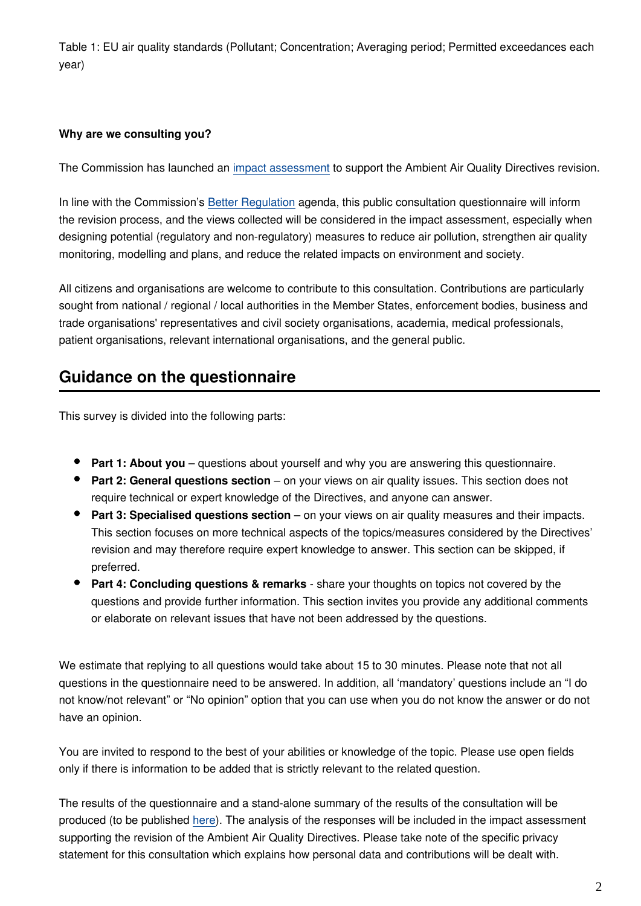Table 1: EU air quality standards (Pollutant; Concentration; Averaging period; Permitted exceedances each year)

#### **Why are we consulting you?**

The Commission has launched an [impact assessment](https://ec.europa.eu/info/law/better-regulation/have-your-say/initiatives/12677-Air-quality-revision-of-EU-rules_en) to support the Ambient Air Quality Directives revision.

In line with the Commission's [Better Regulation](https://ec.europa.eu/info/law/law-making-process/planning-and-proposing-law/better-regulation-why-and-how_en) agenda, this public consultation questionnaire will inform the revision process, and the views collected will be considered in the impact assessment, especially when designing potential (regulatory and non-regulatory) measures to reduce air pollution, strengthen air quality monitoring, modelling and plans, and reduce the related impacts on environment and society.

All citizens and organisations are welcome to contribute to this consultation. Contributions are particularly sought from national / regional / local authorities in the Member States, enforcement bodies, business and trade organisations' representatives and civil society organisations, academia, medical professionals, patient organisations, relevant international organisations, and the general public.

### **Guidance on the questionnaire**

This survey is divided into the following parts:

- **Part 1: About you** questions about yourself and why you are answering this questionnaire.
- **Part 2: General questions section** on your views on air quality issues. This section does not require technical or expert knowledge of the Directives, and anyone can answer.
- **Part 3: Specialised questions section** on your views on air quality measures and their impacts. This section focuses on more technical aspects of the topics/measures considered by the Directives' revision and may therefore require expert knowledge to answer. This section can be skipped, if preferred.
- **Part 4: Concluding questions & remarks** share your thoughts on topics not covered by the questions and provide further information. This section invites you provide any additional comments or elaborate on relevant issues that have not been addressed by the questions.

We estimate that replying to all questions would take about 15 to 30 minutes. Please note that not all questions in the questionnaire need to be answered. In addition, all 'mandatory' questions include an "I do not know/not relevant" or "No opinion" option that you can use when you do not know the answer or do not have an opinion.

You are invited to respond to the best of your abilities or knowledge of the topic. Please use open fields only if there is information to be added that is strictly relevant to the related question.

The results of the questionnaire and a stand-alone summary of the results of the consultation will be produced (to be published [here](https://ec.europa.eu/environment/air/quality/revision_of_the_aaq_directives.htm)). The analysis of the responses will be included in the impact assessment supporting the revision of the Ambient Air Quality Directives. Please take note of the specific privacy statement for this consultation which explains how personal data and contributions will be dealt with.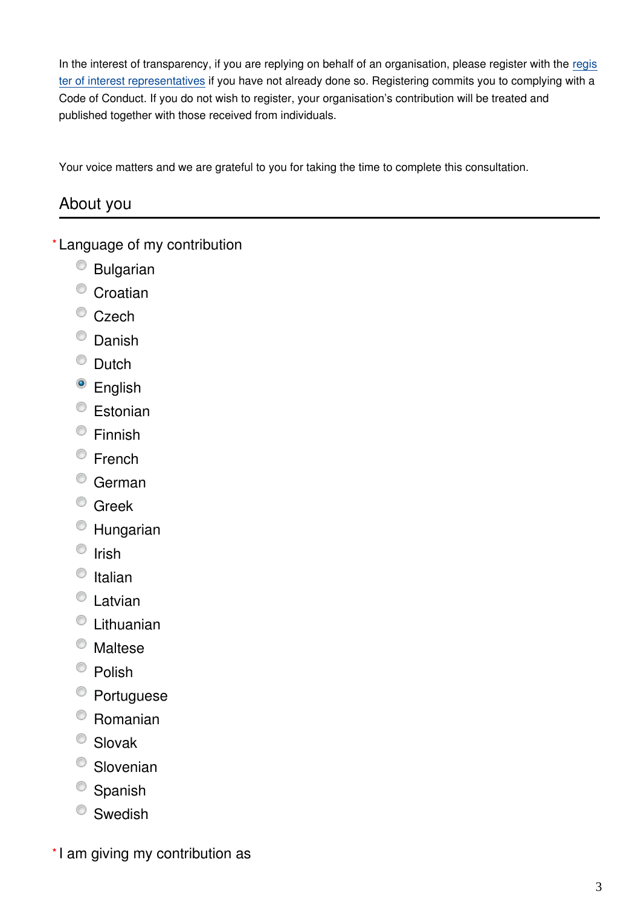In the interest of transparency, if you are replying on behalf of an organisation, please [regis](https://ec.europa.eu/transparencyregister/public/homePage.do)ter with the regis [ter of interest representatives](https://ec.europa.eu/transparencyregister/public/homePage.do) if you have not already done so. Registering commits you to complying with a Code of Conduct. If you do not wish to register, your organisation's contribution will be treated and published together with those received from individuals.

Your voice matters and we are grateful to you for taking the time to complete this consultation.

### About you

Language of my contribution **\***

- Bulgarian
- <sup>O</sup> Croatian
- Czech
- <sup>O</sup> Danish
- <sup>O</sup> Dutch
- <sup>o</sup> English
- <sup>©</sup> Estonian
- Finnish
- $\circ$  French
- <sup>o</sup> German
- <sup>©</sup> Greek
- Hungarian
- $\circ$  Irish
- $\circ$  Italian
- <sup>t</sup> Latvian
- Lithuanian
- Maltese
- $\bullet$  Polish
- Portuguese
- Romanian
- <sup>O</sup> Slovak
- Slovenian
- $\bullet$  Spanish
- <sup>O</sup> Swedish

\*I am giving my contribution as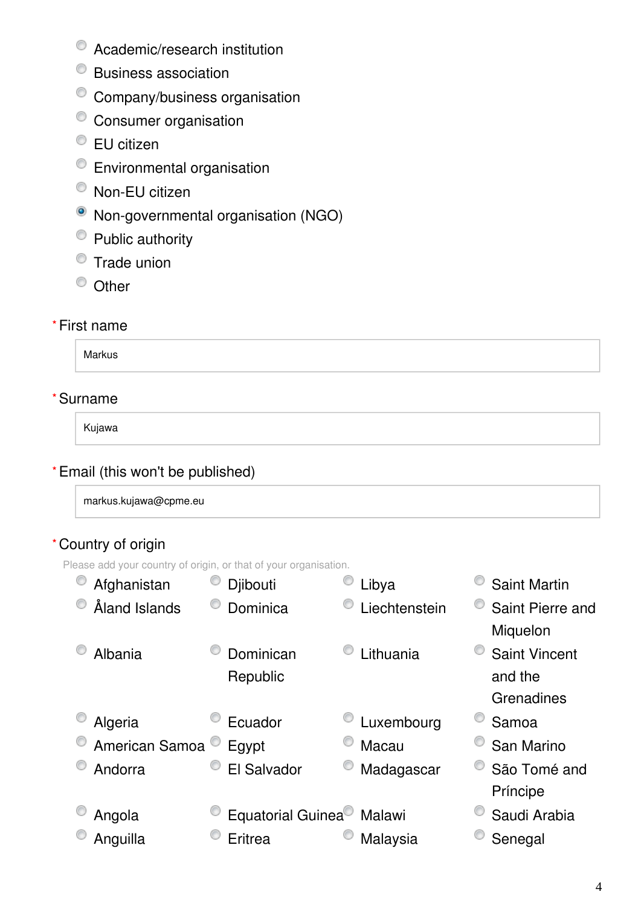- Academic/research institution
- Business association
- Company/business organisation
- <sup>O</sup> Consumer organisation
- EU citizen
- Environmental organisation
- <sup>O</sup> Non-EU citizen
- Non-governmental organisation (NGO)
- Public authority
- $\bullet$  Trade union
- <sup>O</sup> Other

#### First name **\***

Markus

#### Surname **\***

Kujawa

#### Email (this won't be published) **\***

markus.kujawa@cpme.eu

#### Country of origin **\***

Please add your country of origin, or that of your organisation.

| Afghanistan    | Djibouti                              | Libya         | <b>Saint Martin</b>  |
|----------------|---------------------------------------|---------------|----------------------|
| Åland Islands  | Dominica                              | Liechtenstein | Saint Pierre and     |
|                |                                       |               | Miquelon             |
| Albania        | Dominican                             | Lithuania     | <b>Saint Vincent</b> |
|                | Republic                              |               | and the              |
|                |                                       |               | Grenadines           |
| Algeria        | Ecuador                               | Luxembourg    | Samoa                |
| American Samoa | Egypt                                 | Macau         | San Marino           |
| Andorra        | El Salvador                           | Madagascar    | São Tomé and         |
|                |                                       |               | Príncipe             |
| Angola         | Equatorial Guinea <sup>®</sup> Malawi |               | Saudi Arabia         |
| Anguilla       | Eritrea                               | Malaysia      | Senegal              |
|                |                                       |               |                      |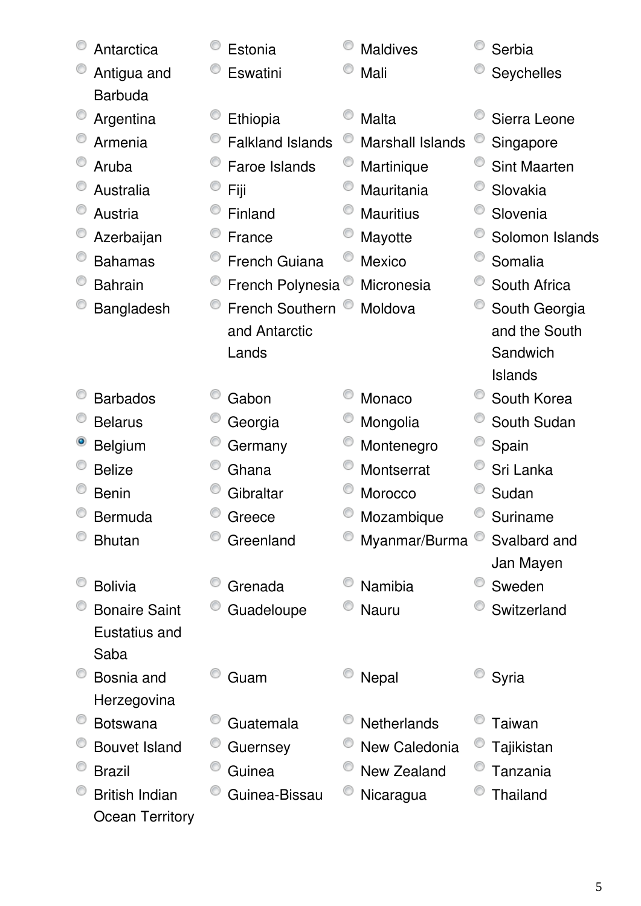| Antarctica                    | Estonia                 | <b>Maldives</b>         | Serbia              |
|-------------------------------|-------------------------|-------------------------|---------------------|
| Antigua and<br><b>Barbuda</b> | Eswatini                | Mali                    | Seychelles          |
| Argentina                     | Ethiopia                | Malta                   | Sierra Leone        |
| Armenia                       | <b>Falkland Islands</b> | <b>Marshall Islands</b> | Singapore           |
| Aruba                         | Faroe Islands           | Martinique              | <b>Sint Maarten</b> |
| Australia                     | Fiji                    | Mauritania              | Slovakia            |
| Austria                       | Finland                 | <b>Mauritius</b>        | Slovenia            |
| Azerbaijan                    | France                  | Mayotte                 | Solomon Islands     |
| <b>Bahamas</b>                | <b>French Guiana</b>    | <b>Mexico</b>           | Somalia             |
| <b>Bahrain</b>                | French Polynesia        | Micronesia              | South Africa        |
| Bangladesh                    | <b>French Southern</b>  | Moldova                 | South Georgia       |
|                               | and Antarctic           |                         | and the South       |
|                               | Lands                   |                         | Sandwich            |
|                               |                         |                         | Islands             |
| <b>Barbados</b>               | Gabon                   | Monaco                  | South Korea         |
| <b>Belarus</b>                | Georgia                 | Mongolia                | South Sudan         |
| <b>Belgium</b>                | Germany                 | Montenegro              | Spain               |
| <b>Belize</b>                 | Ghana                   | Montserrat              | Sri Lanka           |
| <b>Benin</b>                  | Gibraltar               | Morocco                 | Sudan               |
| Bermuda                       | Greece                  | Mozambique              | Suriname            |
| <b>Bhutan</b>                 | Greenland               | Myanmar/Burma           | Svalbard and        |
|                               |                         |                         | Jan Mayen           |
| <b>Bolivia</b>                | Grenada                 | Namibia                 | Sweden              |
| <b>Bonaire Saint</b>          | Guadeloupe              | Nauru                   | Switzerland         |
| Eustatius and                 |                         |                         |                     |
| Saba                          |                         |                         |                     |
| Bosnia and                    | Guam                    | Nepal                   | Syria               |
| Herzegovina                   |                         |                         |                     |
| <b>Botswana</b>               | Guatemala               | <b>Netherlands</b>      | Taiwan              |
| <b>Bouvet Island</b>          | Guernsey                | New Caledonia           | Tajikistan          |
| <b>Brazil</b>                 | Guinea                  | <b>New Zealand</b>      | Tanzania            |
| <b>British Indian</b>         | Guinea-Bissau           | Nicaragua               | <b>Thailand</b>     |
| <b>Ocean Territory</b>        |                         |                         |                     |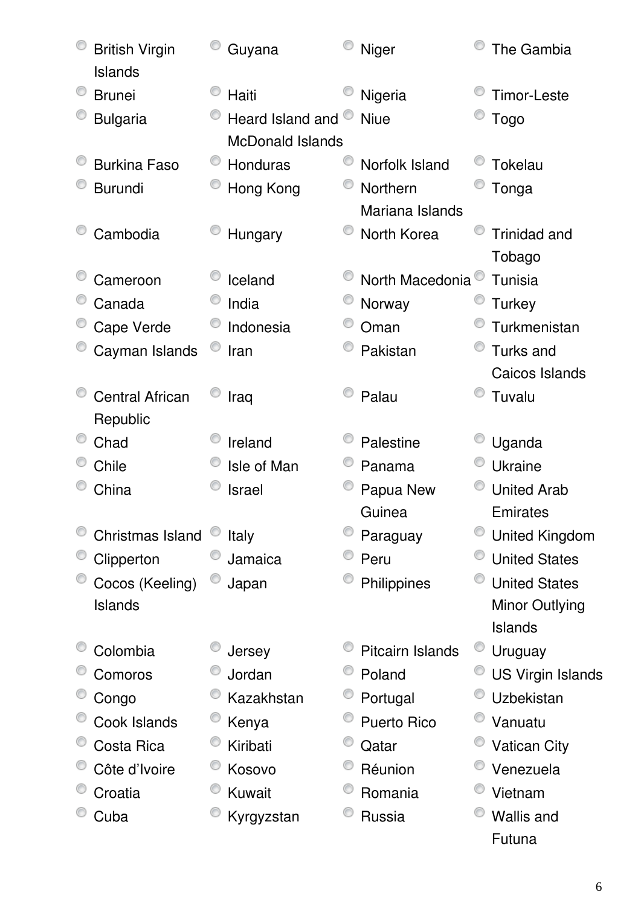| <b>British Virgin</b><br>Islands | Guyana                                      | Niger            | The Gambia               |
|----------------------------------|---------------------------------------------|------------------|--------------------------|
| <b>Brunei</b>                    | Haiti                                       | Nigeria          | <b>Timor-Leste</b>       |
| <b>Bulgaria</b>                  | Heard Island and<br><b>McDonald Islands</b> | <b>Niue</b>      | <b>Togo</b>              |
| <b>Burkina Faso</b>              | Honduras                                    | Norfolk Island   | <b>Tokelau</b>           |
| <b>Burundi</b>                   | Hong Kong                                   | Northern         | Tonga                    |
|                                  |                                             | Mariana Islands  |                          |
| Cambodia                         | Hungary                                     | North Korea      | <b>Trinidad and</b>      |
|                                  |                                             |                  | Tobago                   |
| Cameroon                         | Iceland                                     | North Macedonia  | Tunisia                  |
| Canada                           | India                                       | Norway           | <b>Turkey</b>            |
| Cape Verde                       | Indonesia                                   | Oman             | Turkmenistan             |
| Cayman Islands                   | Iran                                        | Pakistan         | Turks and                |
|                                  |                                             |                  | Caicos Islands           |
| <b>Central African</b>           | Iraq                                        | Palau            | Tuvalu                   |
| Republic                         |                                             |                  |                          |
| Chad                             | Ireland                                     | Palestine        | Uganda                   |
| Chile                            | Isle of Man                                 | Panama           | <b>Ukraine</b>           |
| China                            | Israel                                      | Papua New        | <b>United Arab</b>       |
|                                  |                                             | Guinea           | Emirates                 |
| Christmas Island                 | Italy                                       | Paraguay         | <b>United Kingdom</b>    |
| Clipperton                       | Jamaica                                     | Peru             | <b>United States</b>     |
| Cocos (Keeling)                  | Japan                                       | Philippines      | <b>United States</b>     |
| <b>Islands</b>                   |                                             |                  | Minor Outlying           |
|                                  |                                             |                  | Islands                  |
| Colombia                         | Jersey                                      | Pitcairn Islands | Uruguay                  |
| Comoros                          | Jordan                                      | Poland           | <b>US Virgin Islands</b> |
| Congo                            | Kazakhstan                                  | Portugal         | Uzbekistan               |
| Cook Islands                     | Kenya                                       | Puerto Rico      | Vanuatu                  |
| Costa Rica                       | Kiribati                                    | Qatar            | <b>Vatican City</b>      |
| Côte d'Ivoire                    | Kosovo                                      | Réunion          | Venezuela                |
| Croatia                          | Kuwait                                      | Romania          | Vietnam                  |
| Cuba                             | Kyrgyzstan                                  | Russia           | <b>Wallis and</b>        |
|                                  |                                             |                  | Futuna                   |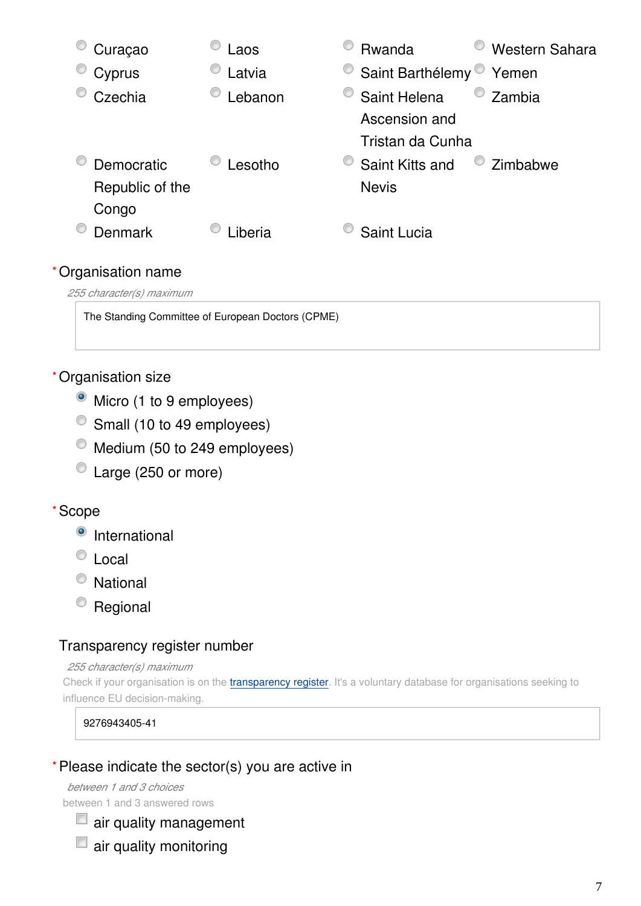

The Standing Committee of European Doctors (CPME)

#### Organisation size **\***

- Micro (1 to 9 employees)
- Small (10 to 49 employees)
- $\bullet$  Medium (50 to 249 employees)
- C Large (250 or more)

#### Scope **\***

- <sup>o</sup> International
- C Local
- National
- <sup>o</sup> Regional

#### Transparency register number

#### *255 character(s) maximum*

Check if your organisation is on the [transparency register](http://ec.europa.eu/transparencyregister/public/homePage.do?redir=false&locale=en). It's a voluntary database for organisations seeking to influence EU decision-making.

9276943405-41

#### Please indicate the sector(s) you are active in **\***

*between 1 and 3 choices* between 1 and 3 answered rows

air quality management

 $\Box$  air quality monitoring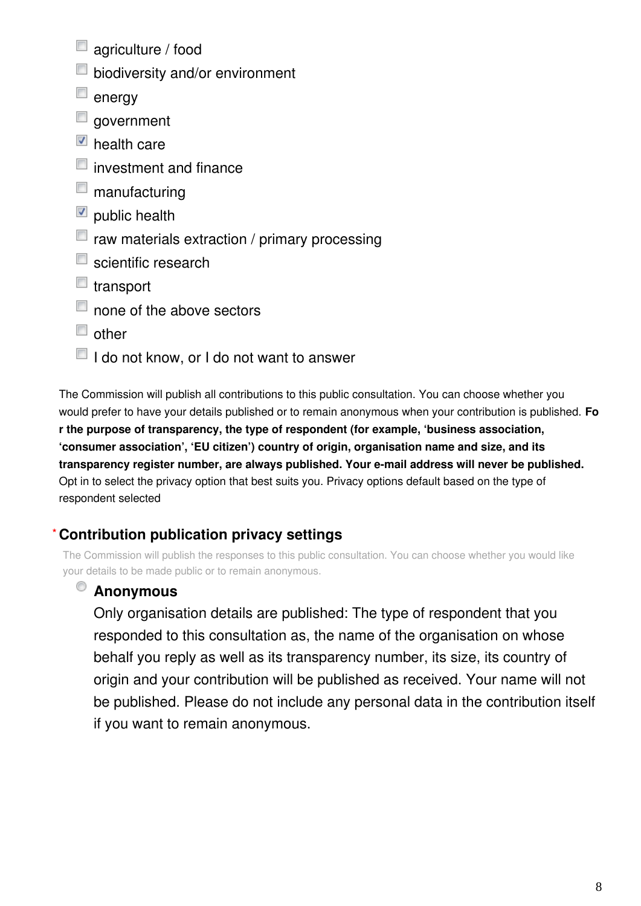- agriculture / food
- **D** biodiversity and/or environment
- $\blacksquare$  energy
- government
- $\blacksquare$  health care
- $\blacksquare$  investment and finance
- $\blacksquare$  manufacturing
- $\blacksquare$  public health
- $\blacksquare$  raw materials extraction / primary processing
- $\blacksquare$  scientific research
- $\blacksquare$  transport
- $\Box$  none of the above sectors
- $\Box$  other
- I do not know, or I do not want to answer

The Commission will publish all contributions to this public consultation. You can choose whether you would prefer to have your details published or to remain anonymous when your contribution is published. **Fo r the purpose of transparency, the type of respondent (for example, 'business association, 'consumer association', 'EU citizen') country of origin, organisation name and size, and its transparency register number, are always published. Your e-mail address will never be published.** Opt in to select the privacy option that best suits you. Privacy options default based on the type of respondent selected

#### **Contribution publication privacy settings \***

The Commission will publish the responses to this public consultation. You can choose whether you would like your details to be made public or to remain anonymous.

#### O **Anonymous**

Only organisation details are published: The type of respondent that you responded to this consultation as, the name of the organisation on whose behalf you reply as well as its transparency number, its size, its country of origin and your contribution will be published as received. Your name will not be published. Please do not include any personal data in the contribution itself if you want to remain anonymous.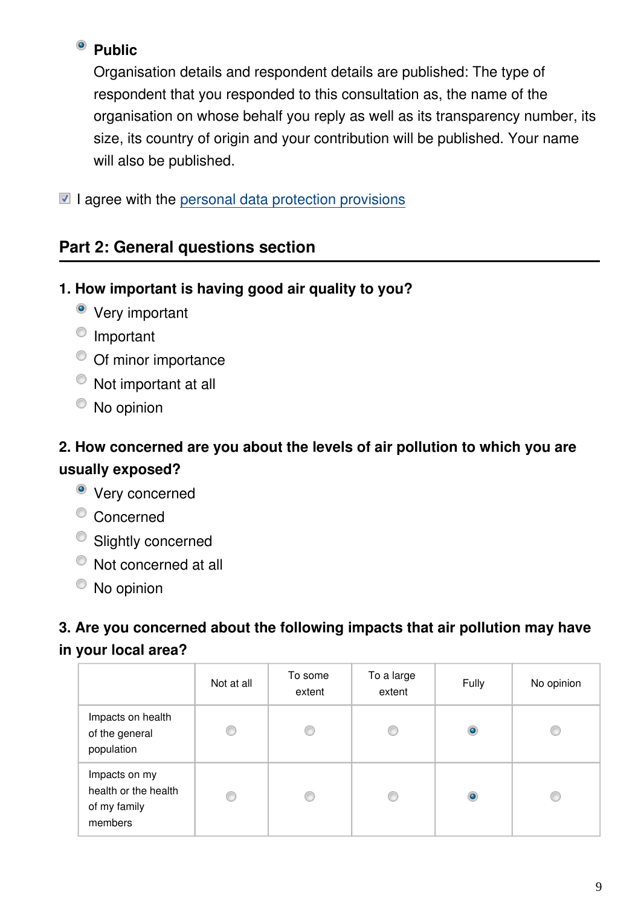### <sup>o</sup> Public

Organisation details and respondent details are published: The type of respondent that you responded to this consultation as, the name of the organisation on whose behalf you reply as well as its transparency number, its size, its country of origin and your contribution will be published. Your name will also be published.

 $\blacksquare$  I agree with the [personal data protection provisions](https://ec.europa.eu/info/law/better-regulation/specific-privacy-statement)

### **Part 2: General questions section**

#### **1. How important is having good air quality to you?**

- Very important
- <sup>O</sup> Important
- <sup>O</sup> Of minor importance
- $\bullet$  Not important at all
- $\bullet$  No opinion

### **2. How concerned are you about the levels of air pollution to which you are usually exposed?**

- Very concerned
- <sup>o</sup> Concerned
- <sup>O</sup> Slightly concerned
- $\bullet$  Not concerned at all
- No opinion

### **3. Are you concerned about the following impacts that air pollution may have in your local area?**

|                                                                  | Not at all | To some<br>extent | To a large<br>extent | Fully     | No opinion |
|------------------------------------------------------------------|------------|-------------------|----------------------|-----------|------------|
| Impacts on health<br>of the general<br>population                | ⊙          |                   | €                    | $\circ$   | C          |
| Impacts on my<br>health or the health<br>of my family<br>members | ⊙          |                   | €                    | $\bullet$ | C          |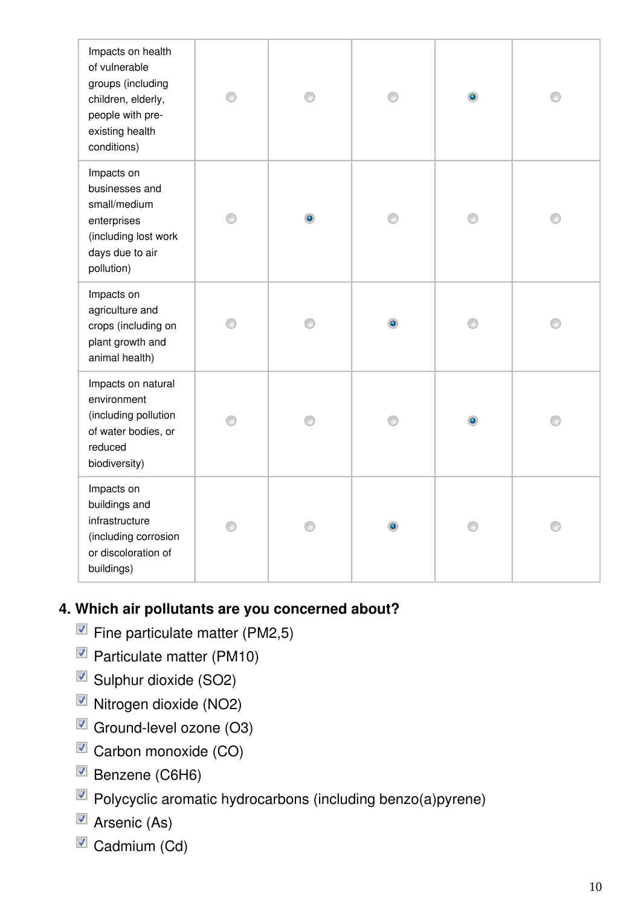| Impacts on health<br>of vulnerable<br>groups (including<br>children, elderly,<br>people with pre-<br>existing health<br>conditions) | ⊙ | 0 | ⊙         | $\bullet$ | € |
|-------------------------------------------------------------------------------------------------------------------------------------|---|---|-----------|-----------|---|
| Impacts on<br>businesses and<br>small/medium<br>enterprises<br>(including lost work<br>days due to air<br>pollution)                |   | ۰ | ∩         | ⋒         | ⋒ |
| Impacts on<br>agriculture and<br>crops (including on<br>plant growth and<br>animal health)                                          |   |   | $\bullet$ |           |   |
| Impacts on natural<br>environment<br>(including pollution<br>of water bodies, or<br>reduced<br>biodiversity)                        | ⋒ | ∩ | ∩         | $\bullet$ | ⋒ |
| Impacts on<br>buildings and<br>infrastructure<br>(including corrosion<br>or discoloration of<br>buildings)                          |   |   |           |           |   |

### **4. Which air pollutants are you concerned about?**

- $\blacksquare$  Fine particulate matter (PM2,5)
- Particulate matter (PM10)
- Sulphur dioxide (SO2)
- Nitrogen dioxide (NO2)
- Ground-level ozone (O3)
- $\blacksquare$  Carbon monoxide (CO)
- Benzene (C6H6)
- Polycyclic aromatic hydrocarbons (including benzo(a)pyrene)
- $\blacksquare$  Arsenic (As)
- Cadmium (Cd)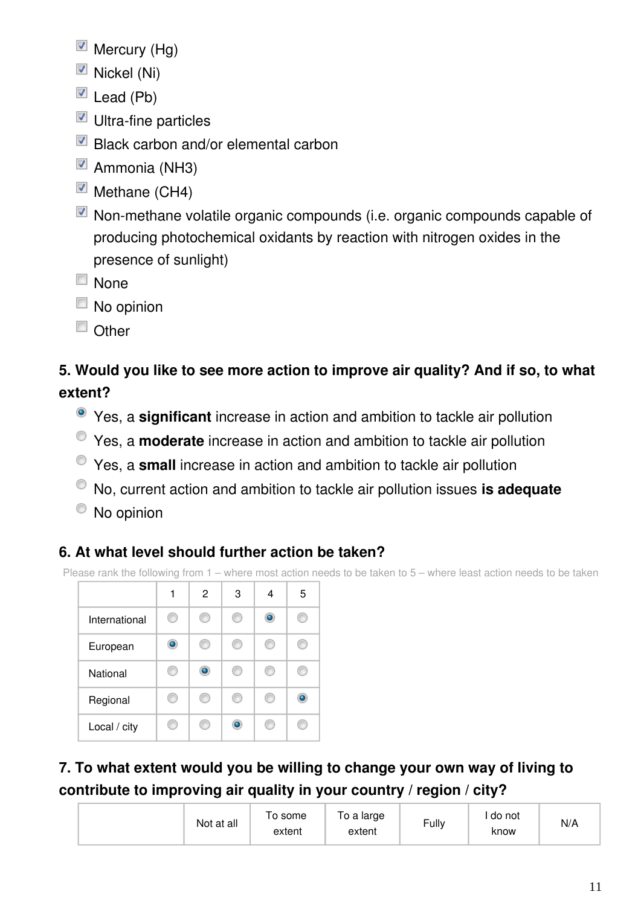- $\blacksquare$  Mercury (Hg)
- $\blacksquare$  Nickel (Ni)
- $\blacksquare$  Lead (Pb)
- $\blacksquare$  Ultra-fine particles
- Black carbon and/or elemental carbon
- Ammonia (NH3)
- $\blacksquare$  Methane (CH4)
- Non-methane volatile organic compounds (i.e. organic compounds capable of producing photochemical oxidants by reaction with nitrogen oxides in the presence of sunlight)
- $\Box$  None
- $\Box$  No opinion
- $\Box$  Other

### **5. Would you like to see more action to improve air quality? And if so, to what extent?**

- Yes, a **significant** increase in action and ambition to tackle air pollution
- Yes, a **moderate** increase in action and ambition to tackle air pollution
- Yes, a **small** increase in action and ambition to tackle air pollution
- No, current action and ambition to tackle air pollution issues **is adequate**
- <sup>O</sup> No opinion

### **6. At what level should further action be taken?**

Please rank the following from 1 – where most action needs to be taken to 5 – where least action needs to be taken



**7. To what extent would you be willing to change your own way of living to contribute to improving air quality in your country / region / city?**

| Not at all | o some<br>extent | o a large<br>extent | Fully | do not<br>know | N/A |
|------------|------------------|---------------------|-------|----------------|-----|
|------------|------------------|---------------------|-------|----------------|-----|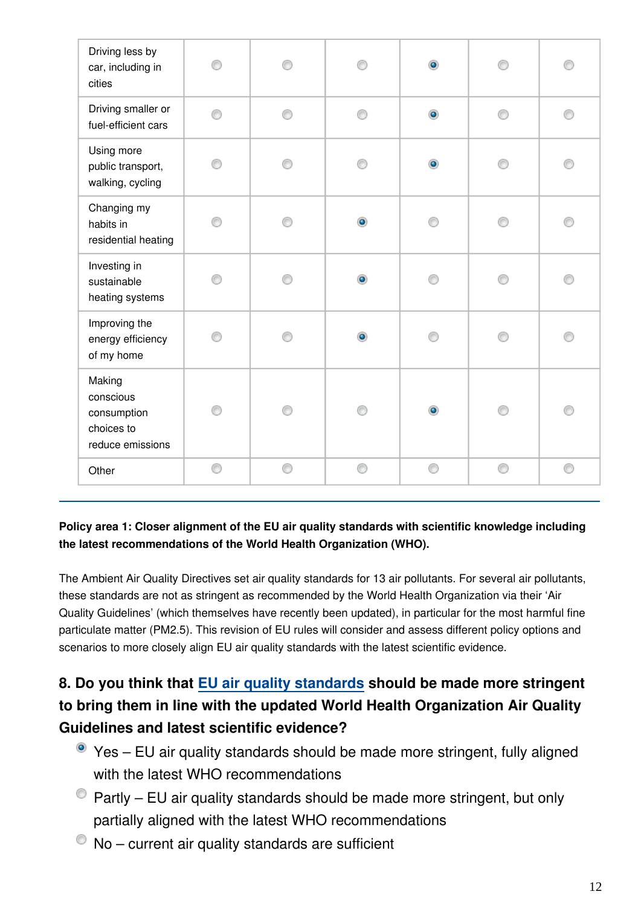| Driving less by<br>car, including in<br>cities                       | ∩ |   |           | $\bullet$ |   |   |
|----------------------------------------------------------------------|---|---|-----------|-----------|---|---|
| Driving smaller or<br>fuel-efficient cars                            | ⊙ | ⊙ | ⋒         | $\bullet$ | ⋒ | ⊙ |
| Using more<br>public transport,<br>walking, cycling                  | ∩ | ⋒ | e         | $\bullet$ | e |   |
| Changing my<br>habits in<br>residential heating                      | 0 | ∩ | $\bullet$ | ⋒         | ∩ | ⋒ |
| Investing in<br>sustainable<br>heating systems                       |   |   | ۰         |           |   |   |
| Improving the<br>energy efficiency<br>of my home                     | ∩ |   | ۰         |           |   |   |
| Making<br>conscious<br>consumption<br>choices to<br>reduce emissions | ⊙ |   |           |           |   |   |
| Other                                                                | 0 | ⊙ | ⊙         | ◉         | ⊙ | 0 |

#### **Policy area 1: Closer alignment of the EU air quality standards with scientific knowledge including the latest recommendations of the World Health Organization (WHO).**

The Ambient Air Quality Directives set air quality standards for 13 air pollutants. For several air pollutants, these standards are not as stringent as recommended by the World Health Organization via their 'Air Quality Guidelines' (which themselves have recently been updated), in particular for the most harmful fine particulate matter (PM2.5). This revision of EU rules will consider and assess different policy options and scenarios to more closely align EU air quality standards with the latest scientific evidence.

### **8. Do you think that [EU air quality standards](https://ec.europa.eu/environment/air/quality/standards.htm) should be made more stringent to bring them in line with the updated World Health Organization Air Quality Guidelines and latest scientific evidence?**

- Yes EU air quality standards should be made more stringent, fully aligned with the latest WHO recommendations
- $\bullet$  Partly EU air quality standards should be made more stringent, but only partially aligned with the latest WHO recommendations
- $\bullet$  No current air quality standards are sufficient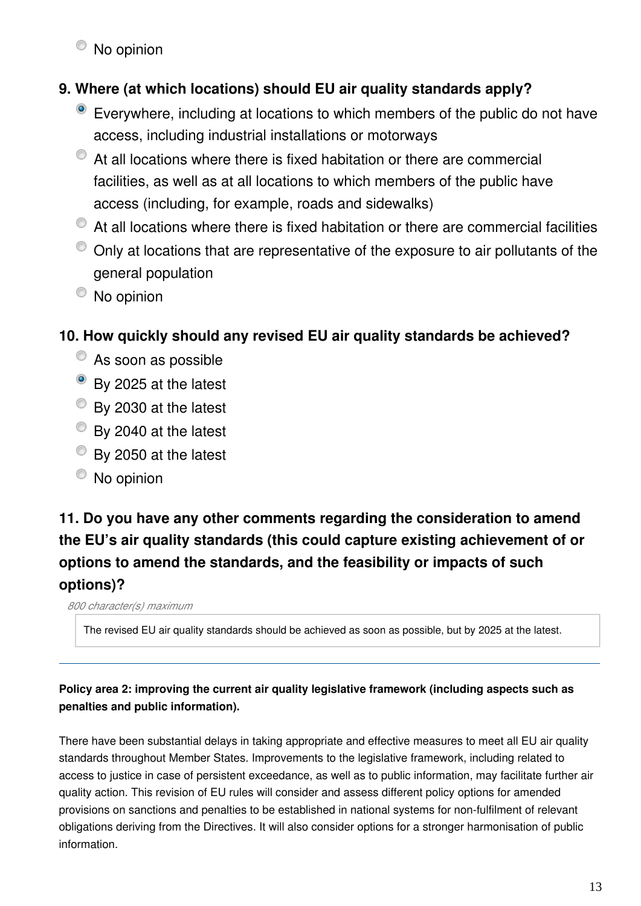$\bullet$  No opinion

### **9. Where (at which locations) should EU air quality standards apply?**

- Everywhere, including at locations to which members of the public do not have access, including industrial installations or motorways
- $\bullet$  At all locations where there is fixed habitation or there are commercial facilities, as well as at all locations to which members of the public have access (including, for example, roads and sidewalks)
- $\bullet$  At all locations where there is fixed habitation or there are commercial facilities
- $\bullet$  Only at locations that are representative of the exposure to air pollutants of the general population
- No opinion

### **10. How quickly should any revised EU air quality standards be achieved?**

- C As soon as possible
- By 2025 at the latest
- By 2030 at the latest
- By 2040 at the latest
- By 2050 at the latest
- No opinion

### **11. Do you have any other comments regarding the consideration to amend the EU's air quality standards (this could capture existing achievement of or options to amend the standards, and the feasibility or impacts of such options)?**

*800 character(s) maximum*

The revised EU air quality standards should be achieved as soon as possible, but by 2025 at the latest.

#### **Policy area 2: improving the current air quality legislative framework (including aspects such as penalties and public information).**

There have been substantial delays in taking appropriate and effective measures to meet all EU air quality standards throughout Member States. Improvements to the legislative framework, including related to access to justice in case of persistent exceedance, as well as to public information, may facilitate further air quality action. This revision of EU rules will consider and assess different policy options for amended provisions on sanctions and penalties to be established in national systems for non-fulfilment of relevant obligations deriving from the Directives. It will also consider options for a stronger harmonisation of public information.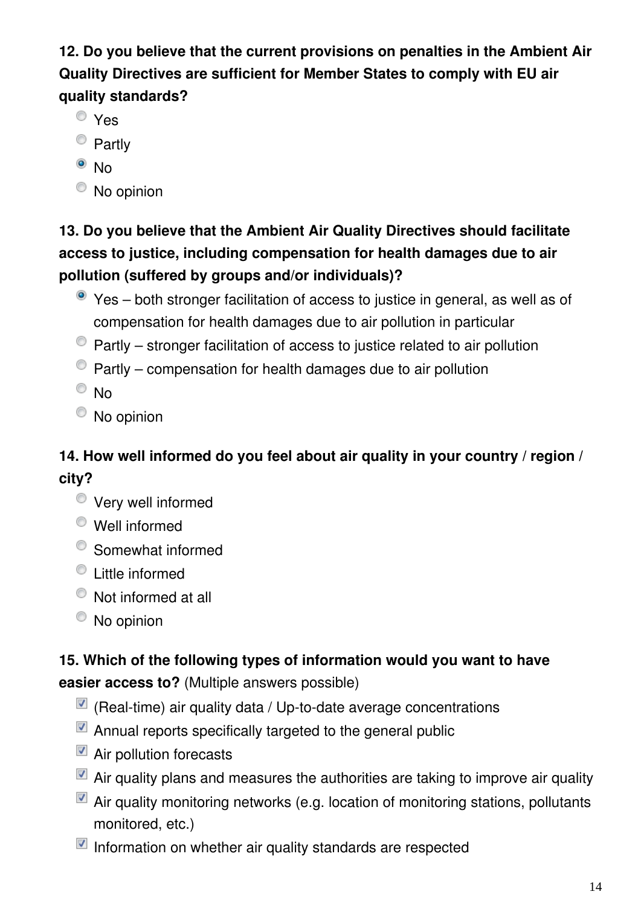**12. Do you believe that the current provisions on penalties in the Ambient Air Quality Directives are sufficient for Member States to comply with EU air quality standards?**

- Yes
- <sup>o</sup> Partly
- $\bullet$  No
- No opinion

### **13. Do you believe that the Ambient Air Quality Directives should facilitate access to justice, including compensation for health damages due to air pollution (suffered by groups and/or individuals)?**

- Yes both stronger facilitation of access to justice in general, as well as of compensation for health damages due to air pollution in particular
- $\bullet$  Partly stronger facilitation of access to justice related to air pollution
- $\bullet$  Partly compensation for health damages due to air pollution
- $\odot$  No
- <sup>O</sup> No opinion

### **14. How well informed do you feel about air quality in your country / region / city?**

- Very well informed
- Well informed
- Somewhat informed
- Little informed
- Not informed at all
- No opinion

## **15. Which of the following types of information would you want to have**

**easier access to?** (Multiple answers possible)

- $\blacksquare$  (Real-time) air quality data / Up-to-date average concentrations
- $\blacksquare$  Annual reports specifically targeted to the general public
- Air pollution forecasts
- $\blacksquare$  Air quality plans and measures the authorities are taking to improve air quality
- Air quality monitoring networks (e.g. location of monitoring stations, pollutants monitored, etc.)
- $\blacksquare$  Information on whether air quality standards are respected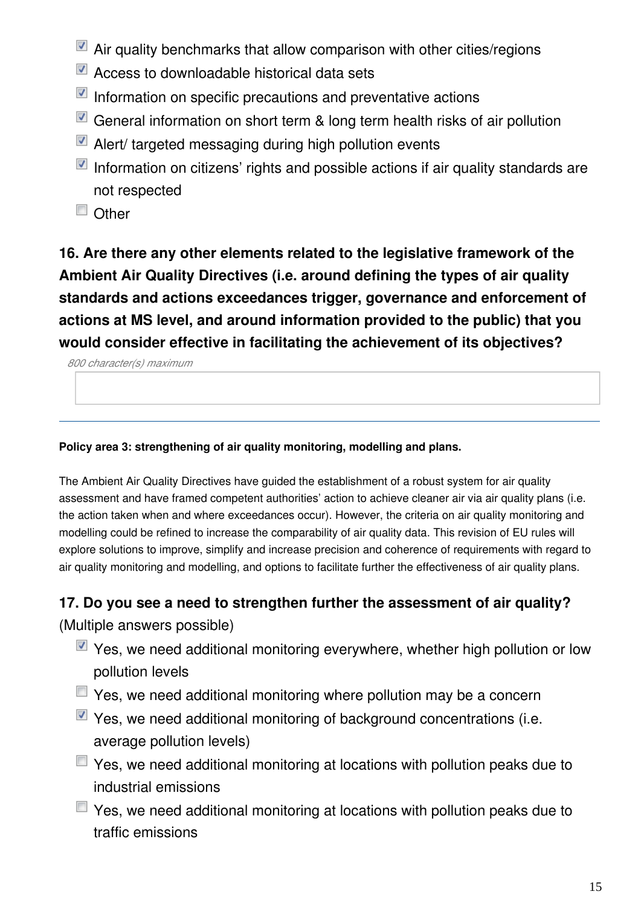- Air quality benchmarks that allow comparison with other cities/regions
- Access to downloadable historical data sets
- $\blacksquare$  Information on specific precautions and preventative actions
- General information on short term & long term health risks of air pollution
- Alert/ targeted messaging during high pollution events
- Information on citizens' rights and possible actions if air quality standards are not respected
- Other

**16. Are there any other elements related to the legislative framework of the Ambient Air Quality Directives (i.e. around defining the types of air quality standards and actions exceedances trigger, governance and enforcement of actions at MS level, and around information provided to the public) that you would consider effective in facilitating the achievement of its objectives?**

*800 character(s) maximum*

**Policy area 3: strengthening of air quality monitoring, modelling and plans.**

The Ambient Air Quality Directives have guided the establishment of a robust system for air quality assessment and have framed competent authorities' action to achieve cleaner air via air quality plans (i.e. the action taken when and where exceedances occur). However, the criteria on air quality monitoring and modelling could be refined to increase the comparability of air quality data. This revision of EU rules will explore solutions to improve, simplify and increase precision and coherence of requirements with regard to air quality monitoring and modelling, and options to facilitate further the effectiveness of air quality plans.

#### **17. Do you see a need to strengthen further the assessment of air quality?**

(Multiple answers possible)

- $\blacksquare$  Yes, we need additional monitoring everywhere, whether high pollution or low pollution levels
- $\Box$  Yes, we need additional monitoring where pollution may be a concern
- $\blacksquare$  Yes, we need additional monitoring of background concentrations (i.e. average pollution levels)
- $\Box$  Yes, we need additional monitoring at locations with pollution peaks due to industrial emissions
- $\Box$  Yes, we need additional monitoring at locations with pollution peaks due to traffic emissions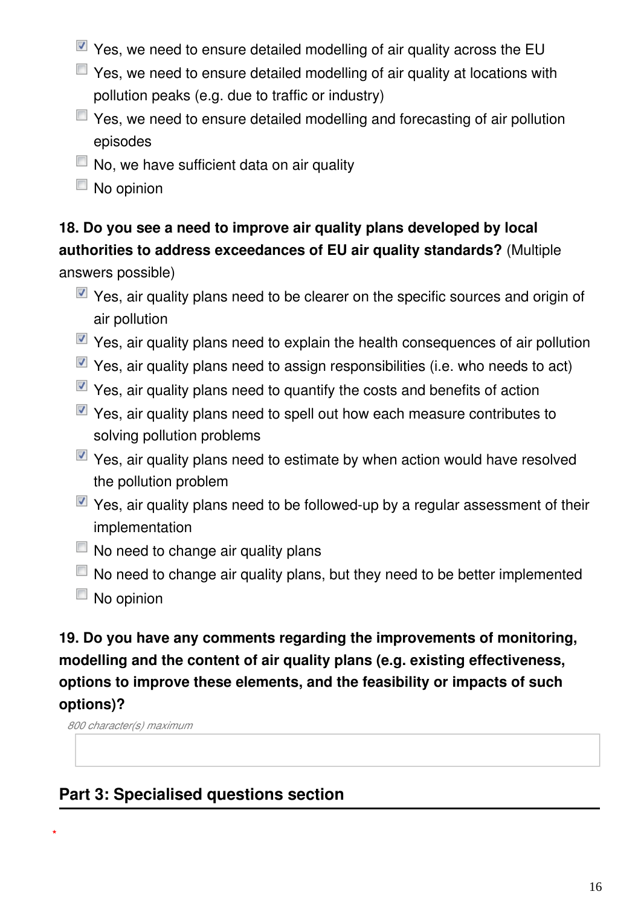- Yes, we need to ensure detailed modelling of air quality across the EU
- $\Box$  Yes, we need to ensure detailed modelling of air quality at locations with pollution peaks (e.g. due to traffic or industry)
- Yes, we need to ensure detailed modelling and forecasting of air pollution episodes
- $\Box$  No, we have sufficient data on air quality
- $\Box$  No opinion

### **18. Do you see a need to improve air quality plans developed by local authorities to address exceedances of EU air quality standards?** (Multiple

answers possible)

- $\blacksquare$  Yes, air quality plans need to be clearer on the specific sources and origin of air pollution
- $\blacksquare$  Yes, air quality plans need to explain the health consequences of air pollution
- $\blacksquare$  Yes, air quality plans need to assign responsibilities (i.e. who needs to act)
- $\blacksquare$  Yes, air quality plans need to quantify the costs and benefits of action
- $\blacksquare$  Yes, air quality plans need to spell out how each measure contributes to solving pollution problems
- $\blacksquare$  Yes, air quality plans need to estimate by when action would have resolved the pollution problem
- $\blacksquare$  Yes, air quality plans need to be followed-up by a regular assessment of their implementation
- $\Box$  No need to change air quality plans
- $\Box$  No need to change air quality plans, but they need to be better implemented
- $\Box$  No opinion

### **19. Do you have any comments regarding the improvements of monitoring, modelling and the content of air quality plans (e.g. existing effectiveness, options to improve these elements, and the feasibility or impacts of such options)?**

*800 character(s) maximum*

**\***

### **Part 3: Specialised questions section**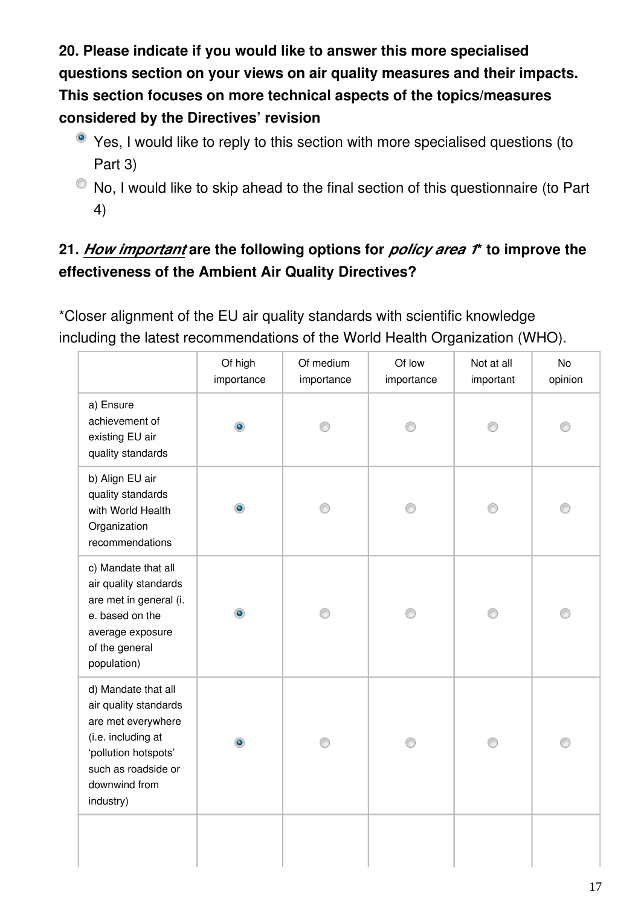**20. Please indicate if you would like to answer this more specialised questions section on your views on air quality measures and their impacts. This section focuses on more technical aspects of the topics/measures considered by the Directives' revision**

- Yes, I would like to reply to this section with more specialised questions (to Part 3)
- $\bullet$  No, I would like to skip ahead to the final section of this questionnaire (to Part 4)

### **21.** *How important* **are the following options for** *policy area 1***\* to improve the effectiveness of the Ambient Air Quality Directives?**

\*Closer alignment of the EU air quality standards with scientific knowledge including the latest recommendations of the World Health Organization (WHO).

|                                                                                                                                                                       | Of high<br>importance | Of medium<br>importance | Of low<br>importance | Not at all<br>important | No<br>opinion |
|-----------------------------------------------------------------------------------------------------------------------------------------------------------------------|-----------------------|-------------------------|----------------------|-------------------------|---------------|
| a) Ensure<br>achievement of<br>existing EU air<br>quality standards                                                                                                   | ۰                     |                         |                      |                         |               |
| b) Align EU air<br>quality standards<br>with World Health<br>Organization<br>recommendations                                                                          |                       |                         | ∩                    |                         |               |
| c) Mandate that all<br>air quality standards<br>are met in general (i.<br>e. based on the<br>average exposure<br>of the general<br>population)                        | ۰                     |                         |                      |                         |               |
| d) Mandate that all<br>air quality standards<br>are met everywhere<br>(i.e. including at<br>'pollution hotspots'<br>such as roadside or<br>downwind from<br>industry) |                       |                         |                      |                         |               |
|                                                                                                                                                                       |                       |                         |                      |                         |               |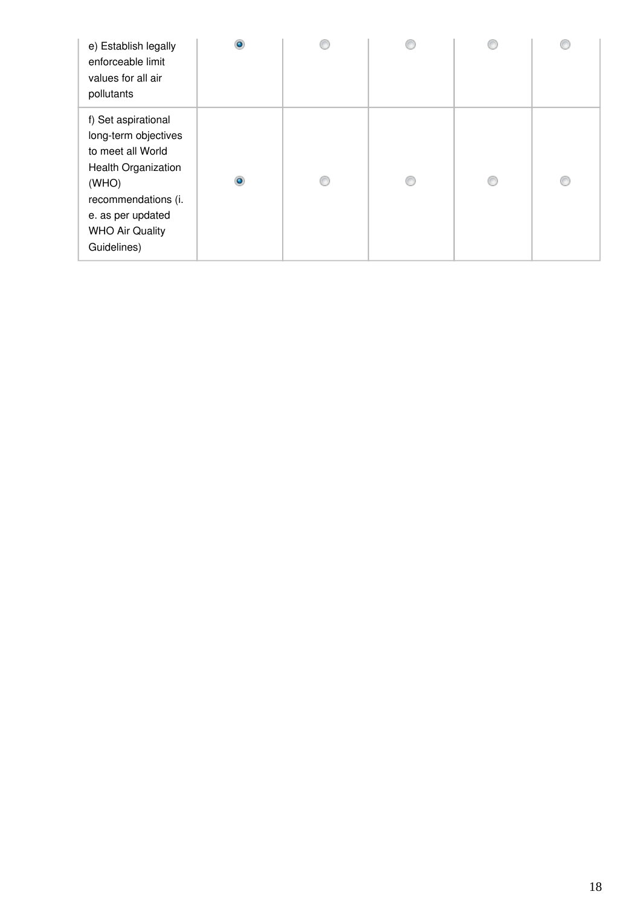| e) Establish legally<br>enforceable limit<br>values for all air<br>pollutants                                                                                                                |   |  |  |
|----------------------------------------------------------------------------------------------------------------------------------------------------------------------------------------------|---|--|--|
| f) Set aspirational<br>long-term objectives<br>to meet all World<br><b>Health Organization</b><br>(WHO)<br>recommendations (i.<br>e. as per updated<br><b>WHO Air Quality</b><br>Guidelines) | ۰ |  |  |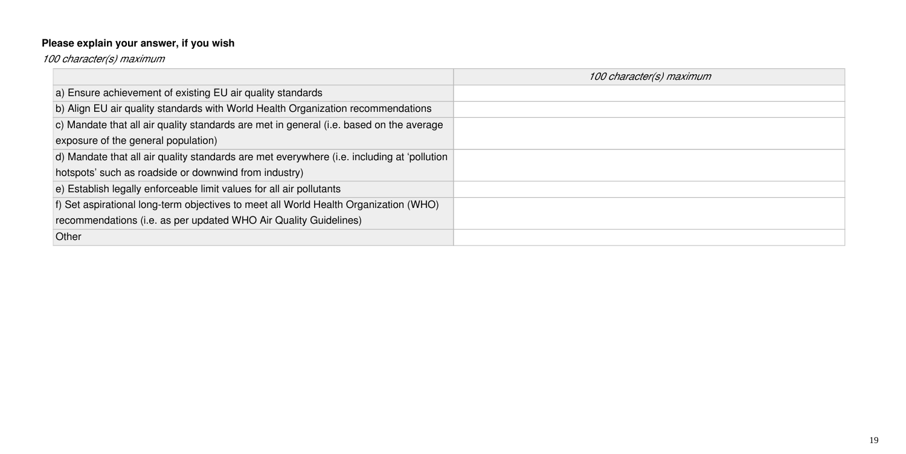### **Please explain your answer, if you wish**

*100 character(s) maximum*

|                                                                                            | 100 character(s) maximum |
|--------------------------------------------------------------------------------------------|--------------------------|
| a) Ensure achievement of existing EU air quality standards                                 |                          |
| b) Align EU air quality standards with World Health Organization recommendations           |                          |
| c) Mandate that all air quality standards are met in general (i.e. based on the average    |                          |
| exposure of the general population)                                                        |                          |
| d) Mandate that all air quality standards are met everywhere (i.e. including at 'pollution |                          |
| hotspots' such as roadside or downwind from industry)                                      |                          |
| $\vert$ e) Establish legally enforceable limit values for all air pollutants               |                          |
| f) Set aspirational long-term objectives to meet all World Health Organization (WHO)       |                          |
| recommendations (i.e. as per updated WHO Air Quality Guidelines)                           |                          |
| <b>Other</b>                                                                               |                          |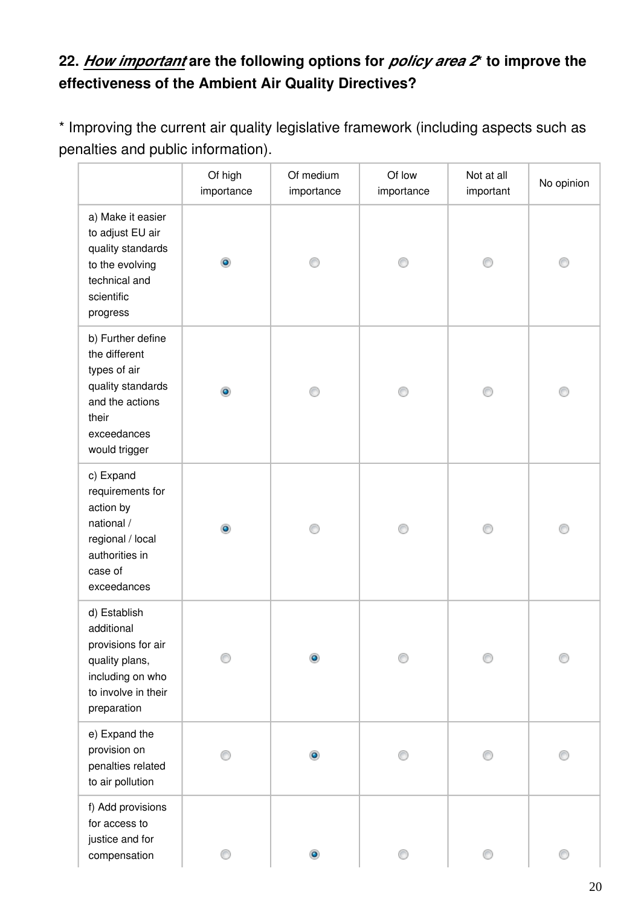### **22.** *How important* **are the following options for** *policy area 2***\* to improve the effectiveness of the Ambient Air Quality Directives?**

\* Improving the current air quality legislative framework (including aspects such as penalties and public information).

|                                                                                                                                     | Of high<br>importance | Of medium<br>importance | Of low<br>importance | Not at all<br>important | No opinion |
|-------------------------------------------------------------------------------------------------------------------------------------|-----------------------|-------------------------|----------------------|-------------------------|------------|
| a) Make it easier<br>to adjust EU air<br>quality standards<br>to the evolving<br>technical and<br>scientific<br>progress            | $\bullet$             |                         |                      |                         |            |
| b) Further define<br>the different<br>types of air<br>quality standards<br>and the actions<br>their<br>exceedances<br>would trigger | $\bullet$             |                         |                      |                         |            |
| c) Expand<br>requirements for<br>action by<br>national /<br>regional / local<br>authorities in<br>case of<br>exceedances            | ۰                     | ⊙                       |                      |                         |            |
| d) Establish<br>additional<br>provisions for air<br>quality plans,<br>including on who<br>to involve in their<br>preparation        |                       |                         |                      |                         |            |
| e) Expand the<br>provision on<br>penalties related<br>to air pollution                                                              |                       | $\bullet$               |                      |                         |            |
| f) Add provisions<br>for access to<br>justice and for<br>compensation                                                               |                       | ۰                       | ⊙                    | ⊙                       | ⊙          |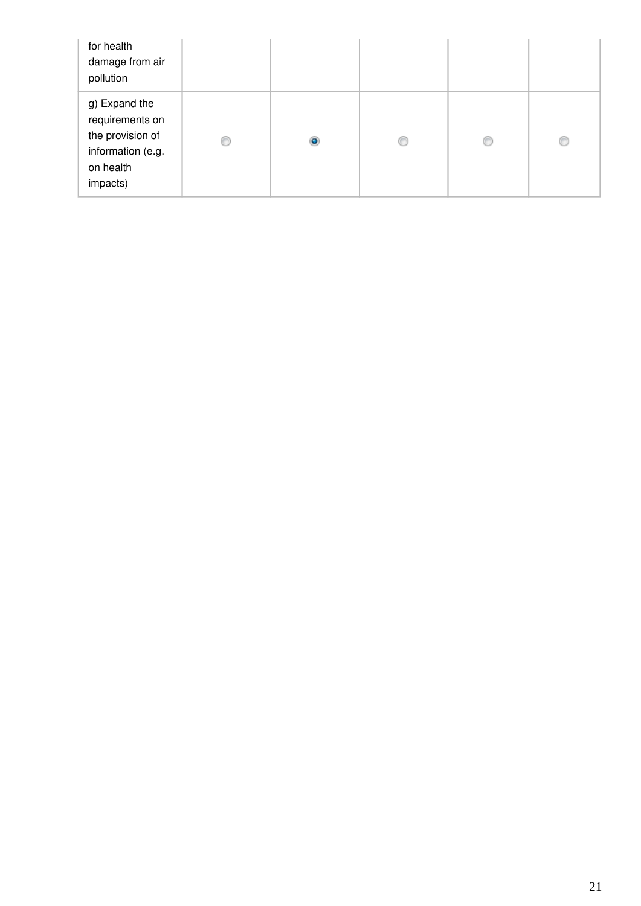| for health<br>damage from air<br>pollution                                                         |   |   |   |   |   |
|----------------------------------------------------------------------------------------------------|---|---|---|---|---|
| g) Expand the<br>requirements on<br>the provision of<br>information (e.g.<br>on health<br>impacts) | € | ۵ | O | C | € |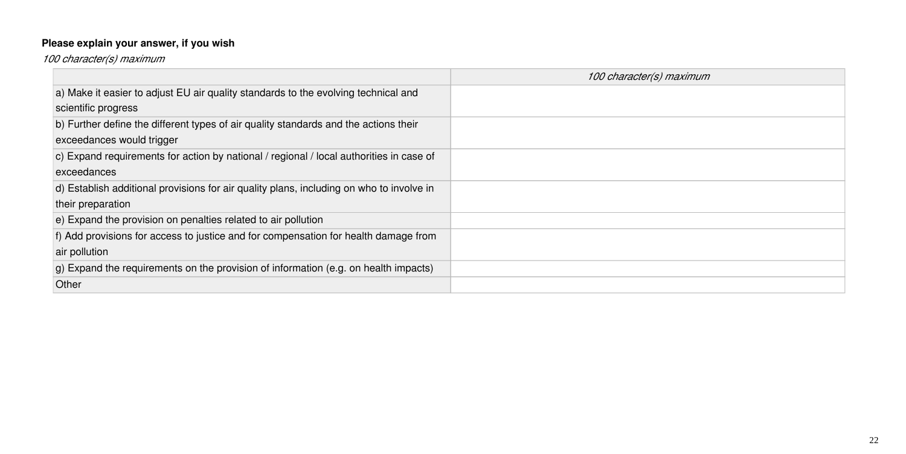## **Please explain your answer, if you wish**

*100 character(s) maximum*

|                                                                                              | 100 character(s) maximum |
|----------------------------------------------------------------------------------------------|--------------------------|
| a) Make it easier to adjust EU air quality standards to the evolving technical and           |                          |
| scientific progress                                                                          |                          |
| b) Further define the different types of air quality standards and the actions their         |                          |
| exceedances would trigger                                                                    |                          |
| c) Expand requirements for action by national / regional / local authorities in case of      |                          |
| exceedances                                                                                  |                          |
| d) Establish additional provisions for air quality plans, including on who to involve in     |                          |
| their preparation                                                                            |                          |
| e) Expand the provision on penalties related to air pollution                                |                          |
| f) Add provisions for access to justice and for compensation for health damage from          |                          |
| air pollution                                                                                |                          |
| $ q\rangle$ Expand the requirements on the provision of information (e.g. on health impacts) |                          |
| Other                                                                                        |                          |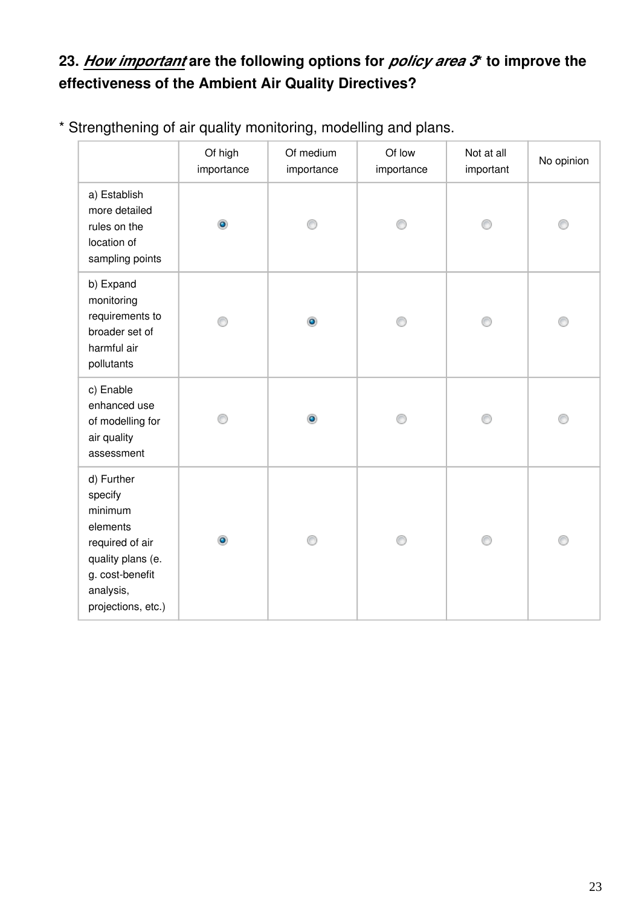### **23.** *How important* **are the following options for** *policy area 3***\* to improve the effectiveness of the Ambient Air Quality Directives?**

|                                                                                                                                            | Of high<br>importance | Of medium<br>importance | Of low<br>importance | Not at all<br>important | No opinion |
|--------------------------------------------------------------------------------------------------------------------------------------------|-----------------------|-------------------------|----------------------|-------------------------|------------|
| a) Establish<br>more detailed<br>rules on the<br>location of<br>sampling points                                                            | $\bullet$             |                         |                      |                         |            |
| b) Expand<br>monitoring<br>requirements to<br>broader set of<br>harmful air<br>pollutants                                                  |                       | ۰                       | ⋒                    |                         | ⊙          |
| c) Enable<br>enhanced use<br>of modelling for<br>air quality<br>assessment                                                                 |                       | ۰                       |                      |                         |            |
| d) Further<br>specify<br>minimum<br>elements<br>required of air<br>quality plans (e.<br>g. cost-benefit<br>analysis,<br>projections, etc.) | $\bullet$             | ∩                       |                      | ⋒                       | ∩          |

\* Strengthening of air quality monitoring, modelling and plans.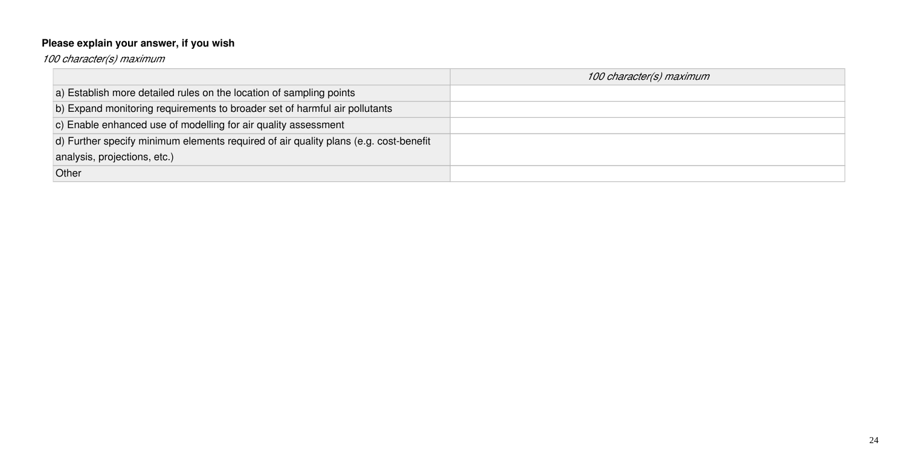## **Please explain your answer, if you wish**

*100 character(s) maximum*

|                                                                                      | 100 character(s) maximum |
|--------------------------------------------------------------------------------------|--------------------------|
| a) Establish more detailed rules on the location of sampling points                  |                          |
| b) Expand monitoring requirements to broader set of harmful air pollutants           |                          |
| c) Enable enhanced use of modelling for air quality assessment                       |                          |
| d) Further specify minimum elements required of air quality plans (e.g. cost-benefit |                          |
| analysis, projections, etc.)                                                         |                          |
| Other                                                                                |                          |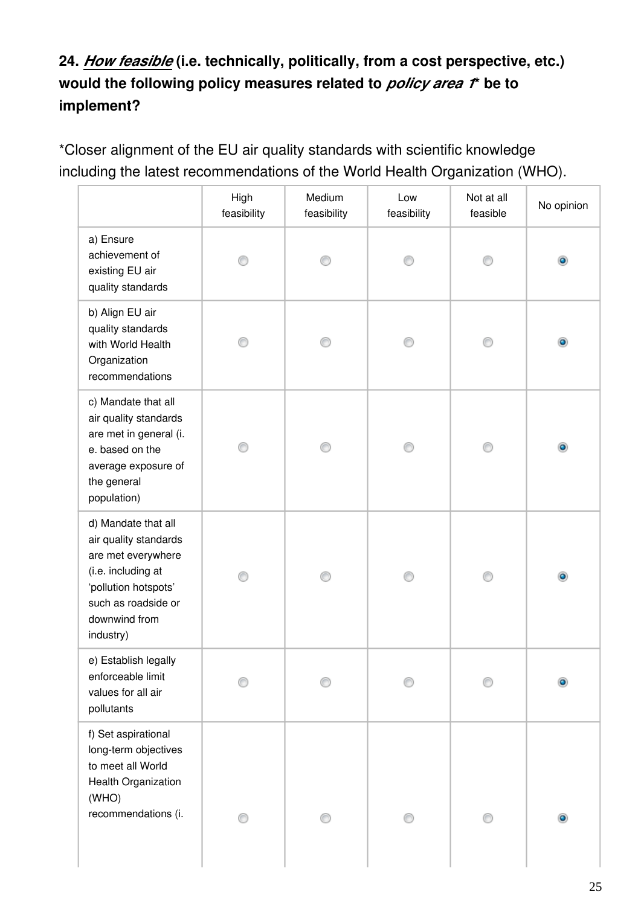### **24.** *How feasible* **(i.e. technically, politically, from a cost perspective, etc.) would the following policy measures related to** *policy area 1***\* be to implement?**

\*Closer alignment of the EU air quality standards with scientific knowledge including the latest recommendations of the World Health Organization (WHO).

|                                                                                                                                                                       | High<br>feasibility | Medium<br>feasibility | Low<br>feasibility | Not at all<br>feasible | No opinion     |
|-----------------------------------------------------------------------------------------------------------------------------------------------------------------------|---------------------|-----------------------|--------------------|------------------------|----------------|
| a) Ensure<br>achievement of<br>existing EU air<br>quality standards                                                                                                   |                     |                       | ∩                  |                        | ۰              |
| b) Align EU air<br>quality standards<br>with World Health<br>Organization<br>recommendations                                                                          |                     | ⊙                     | ⊙                  | ∩                      | $\circledcirc$ |
| c) Mandate that all<br>air quality standards<br>are met in general (i.<br>e. based on the<br>average exposure of<br>the general<br>population)                        |                     |                       |                    |                        | $\bullet$      |
| d) Mandate that all<br>air quality standards<br>are met everywhere<br>(i.e. including at<br>'pollution hotspots'<br>such as roadside or<br>downwind from<br>industry) |                     |                       |                    |                        | ۰              |
| e) Establish legally<br>enforceable limit<br>values for all air<br>pollutants                                                                                         |                     |                       |                    |                        |                |
| f) Set aspirational<br>long-term objectives<br>to meet all World<br>Health Organization<br>(WHO)<br>recommendations (i.                                               |                     |                       |                    |                        |                |
|                                                                                                                                                                       |                     |                       |                    |                        |                |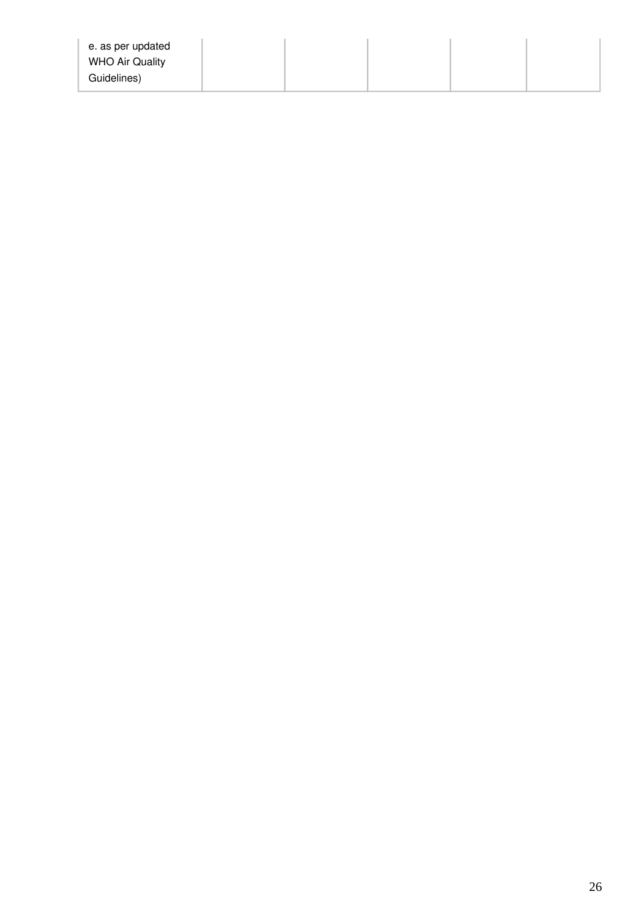| e. as per updated<br><b>WHO Air Quality</b> |  |  |  |
|---------------------------------------------|--|--|--|
| Guidelines)                                 |  |  |  |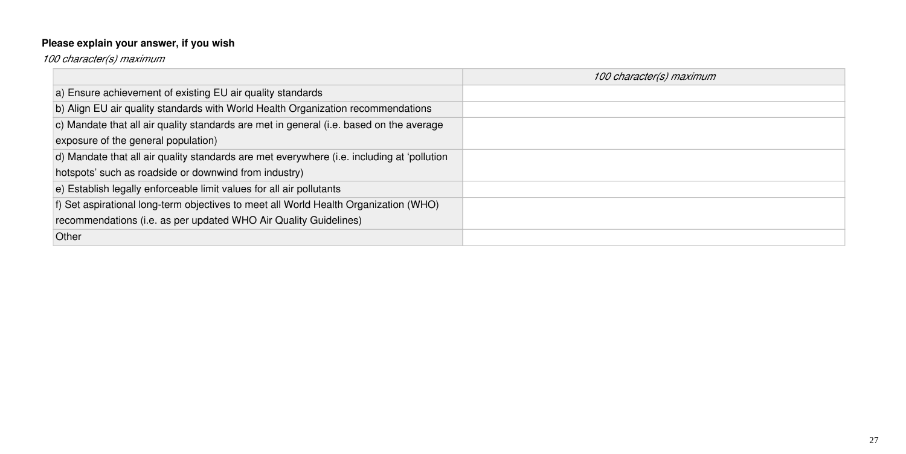### **Please explain your answer, if you wish**

*100 character(s) maximum*

|                                                                                            | 100 character(s) maximum |
|--------------------------------------------------------------------------------------------|--------------------------|
| a) Ensure achievement of existing EU air quality standards                                 |                          |
| b) Align EU air quality standards with World Health Organization recommendations           |                          |
| c) Mandate that all air quality standards are met in general (i.e. based on the average    |                          |
| exposure of the general population)                                                        |                          |
| d) Mandate that all air quality standards are met everywhere (i.e. including at 'pollution |                          |
| hotspots' such as roadside or downwind from industry)                                      |                          |
| e) Establish legally enforceable limit values for all air pollutants                       |                          |
| f) Set aspirational long-term objectives to meet all World Health Organization (WHO)       |                          |
| recommendations (i.e. as per updated WHO Air Quality Guidelines)                           |                          |
| Other                                                                                      |                          |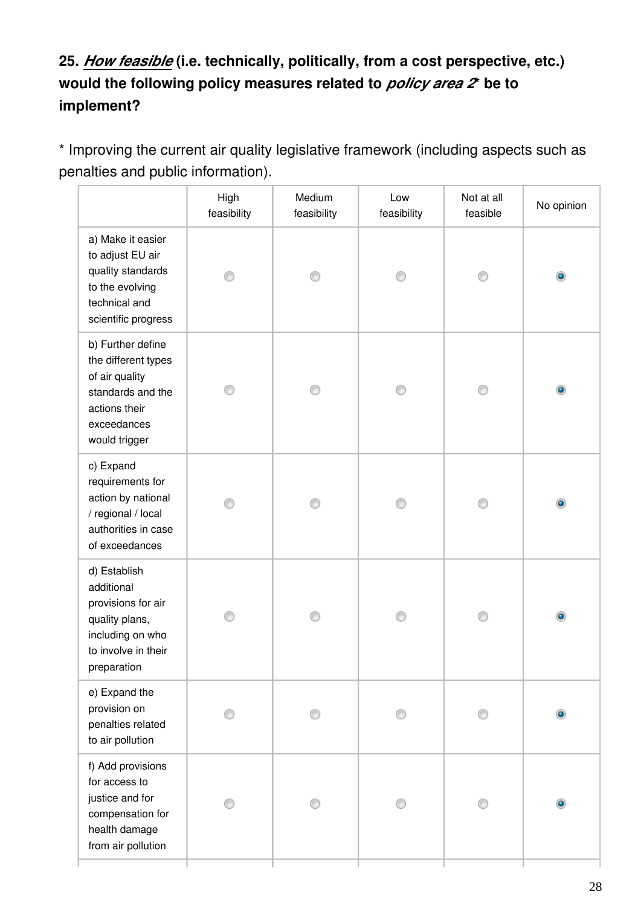### **25.** *How feasible* **(i.e. technically, politically, from a cost perspective, etc.) would the following policy measures related to** *policy area 2***\* be to implement?**

\* Improving the current air quality legislative framework (including aspects such as penalties and public information).

|                                                                                                                                  | High<br>feasibility | Medium<br>feasibility | Low<br>feasibility | Not at all<br>feasible | No opinion     |
|----------------------------------------------------------------------------------------------------------------------------------|---------------------|-----------------------|--------------------|------------------------|----------------|
| a) Make it easier<br>to adjust EU air<br>quality standards<br>to the evolving<br>technical and<br>scientific progress            | ∩                   | ⊙                     | ∩                  | ⊙                      | $\circledcirc$ |
| b) Further define<br>the different types<br>of air quality<br>standards and the<br>actions their<br>exceedances<br>would trigger |                     |                       |                    | ∩                      | $\bullet$      |
| c) Expand<br>requirements for<br>action by national<br>/ regional / local<br>authorities in case<br>of exceedances               |                     |                       |                    | ∩                      | $\bullet$      |
| d) Establish<br>additional<br>provisions for air<br>quality plans,<br>including on who<br>to involve in their<br>preparation     |                     |                       |                    |                        |                |
| e) Expand the<br>provision on<br>penalties related<br>to air pollution                                                           |                     |                       |                    | ∩                      |                |
| f) Add provisions<br>for access to<br>justice and for<br>compensation for<br>health damage<br>from air pollution                 |                     |                       |                    |                        |                |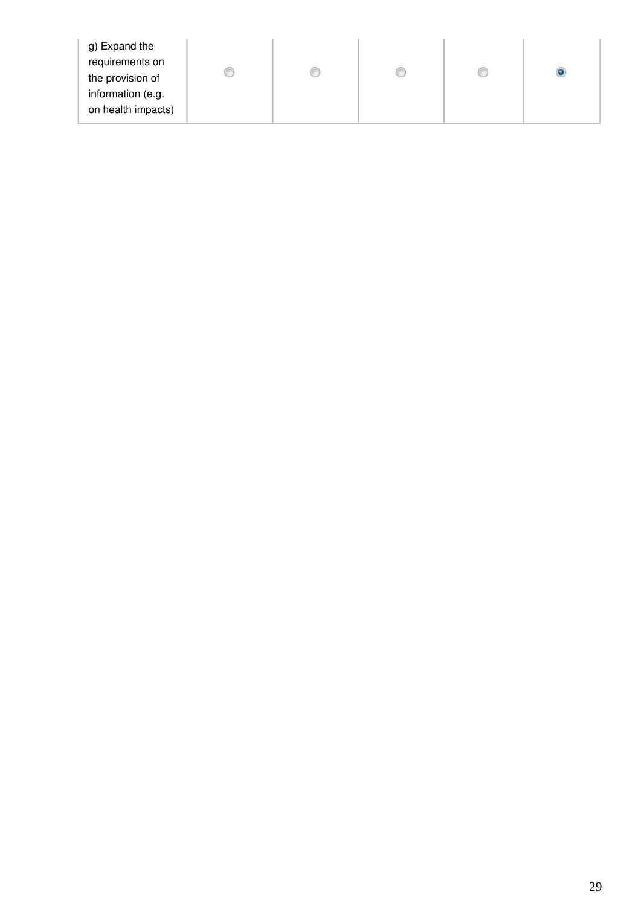| g) Expand the      |  |  |  |
|--------------------|--|--|--|
| requirements on    |  |  |  |
| the provision of   |  |  |  |
| information (e.g.  |  |  |  |
| on health impacts) |  |  |  |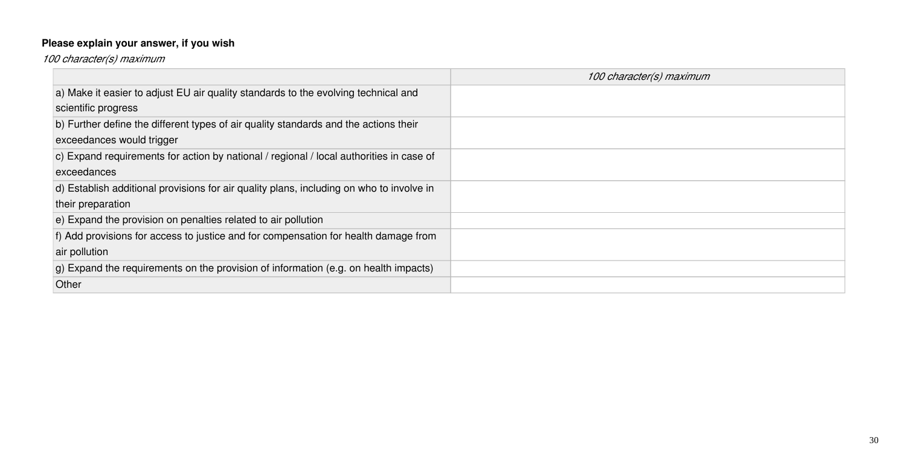## **Please explain your answer, if you wish**

*100 character(s) maximum*

|                                                                                              | 100 character(s) maximum |
|----------------------------------------------------------------------------------------------|--------------------------|
| a) Make it easier to adjust EU air quality standards to the evolving technical and           |                          |
| scientific progress                                                                          |                          |
| b) Further define the different types of air quality standards and the actions their         |                          |
| exceedances would trigger                                                                    |                          |
| c) Expand requirements for action by national / regional / local authorities in case of      |                          |
| exceedances                                                                                  |                          |
| d) Establish additional provisions for air quality plans, including on who to involve in     |                          |
| their preparation                                                                            |                          |
| e) Expand the provision on penalties related to air pollution                                |                          |
| f) Add provisions for access to justice and for compensation for health damage from          |                          |
| air pollution                                                                                |                          |
| $ q\rangle$ Expand the requirements on the provision of information (e.g. on health impacts) |                          |
| Other                                                                                        |                          |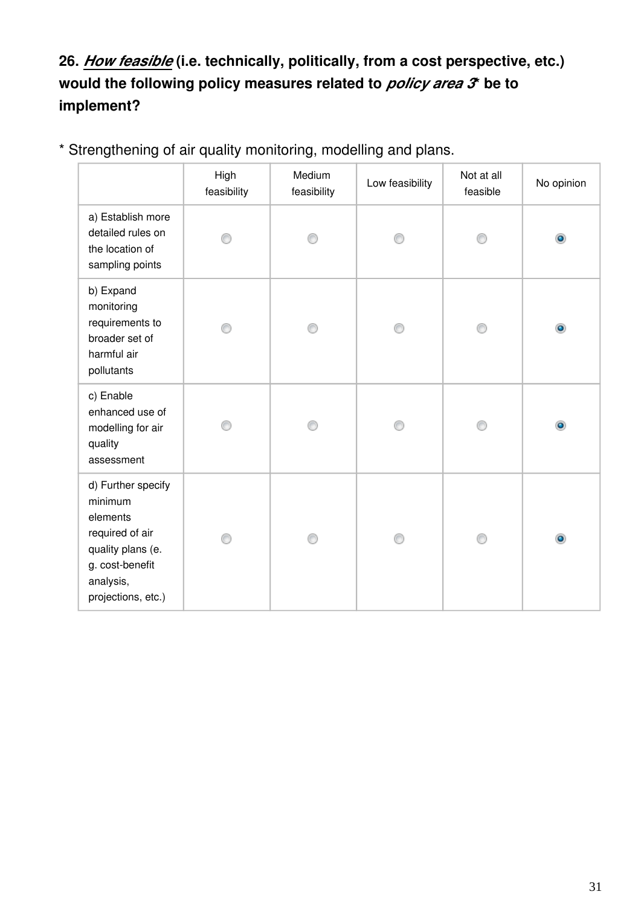### **26.** *How feasible* **(i.e. technically, politically, from a cost perspective, etc.) would the following policy measures related to** *policy area 3***\* be to implement?**

|                                                                                                                                         | High<br>feasibility | Medium<br>feasibility | Low feasibility | Not at all<br>feasible | No opinion |
|-----------------------------------------------------------------------------------------------------------------------------------------|---------------------|-----------------------|-----------------|------------------------|------------|
| a) Establish more<br>detailed rules on<br>the location of<br>sampling points                                                            |                     | ∩                     |                 |                        | $\bullet$  |
| b) Expand<br>monitoring<br>requirements to<br>broader set of<br>harmful air<br>pollutants                                               |                     |                       |                 |                        | $\bullet$  |
| c) Enable<br>enhanced use of<br>modelling for air<br>quality<br>assessment                                                              |                     |                       |                 |                        | ۵          |
| d) Further specify<br>minimum<br>elements<br>required of air<br>quality plans (e.<br>g. cost-benefit<br>analysis,<br>projections, etc.) |                     |                       |                 |                        | ۰          |

\* Strengthening of air quality monitoring, modelling and plans.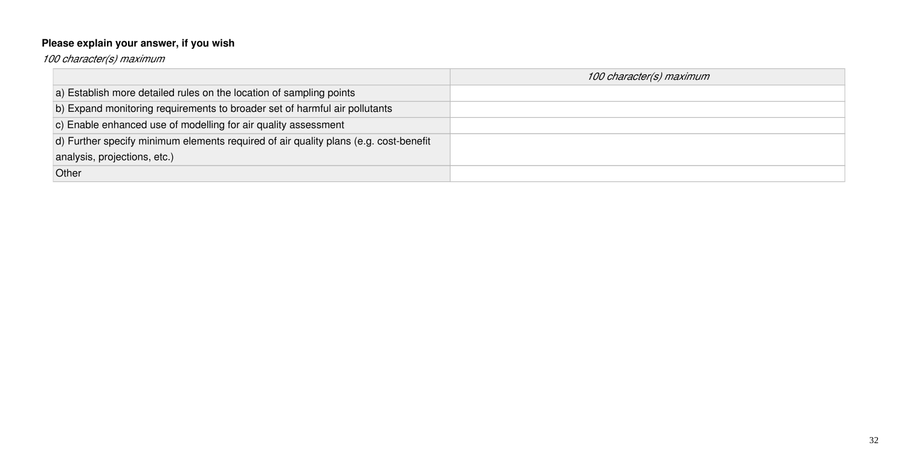## **Please explain your answer, if you wish**

*100 character(s) maximum*

|                                                                                      | 100 character(s) maximum |
|--------------------------------------------------------------------------------------|--------------------------|
| a) Establish more detailed rules on the location of sampling points                  |                          |
| b) Expand monitoring requirements to broader set of harmful air pollutants           |                          |
| c) Enable enhanced use of modelling for air quality assessment                       |                          |
| d) Further specify minimum elements required of air quality plans (e.g. cost-benefit |                          |
| analysis, projections, etc.)                                                         |                          |
| Other                                                                                |                          |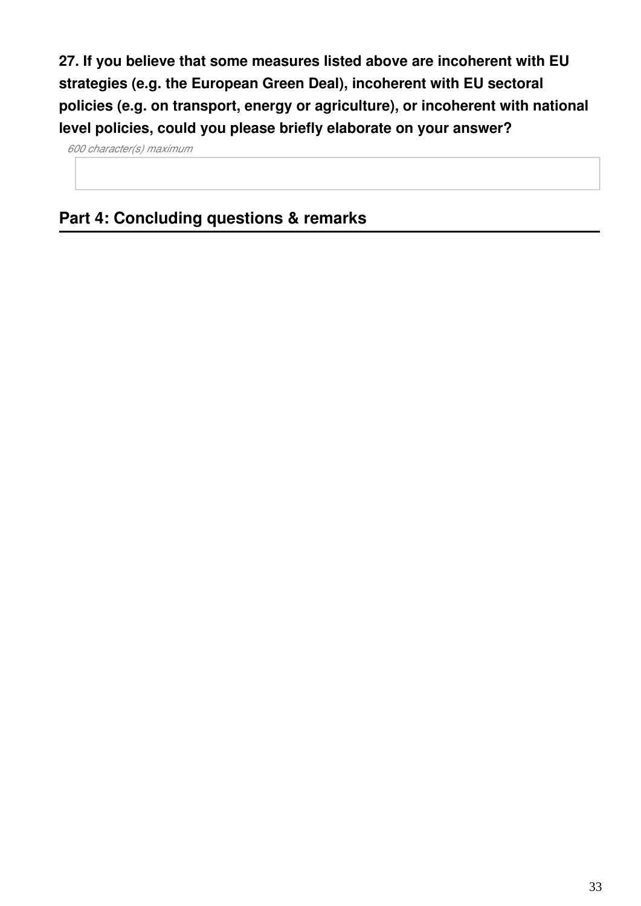**27. If you believe that some measures listed above are incoherent with EU strategies (e.g. the European Green Deal), incoherent with EU sectoral policies (e.g. on transport, energy or agriculture), or incoherent with national level policies, could you please briefly elaborate on your answer?**

*600 character(s) maximum*

### **Part 4: Concluding questions & remarks**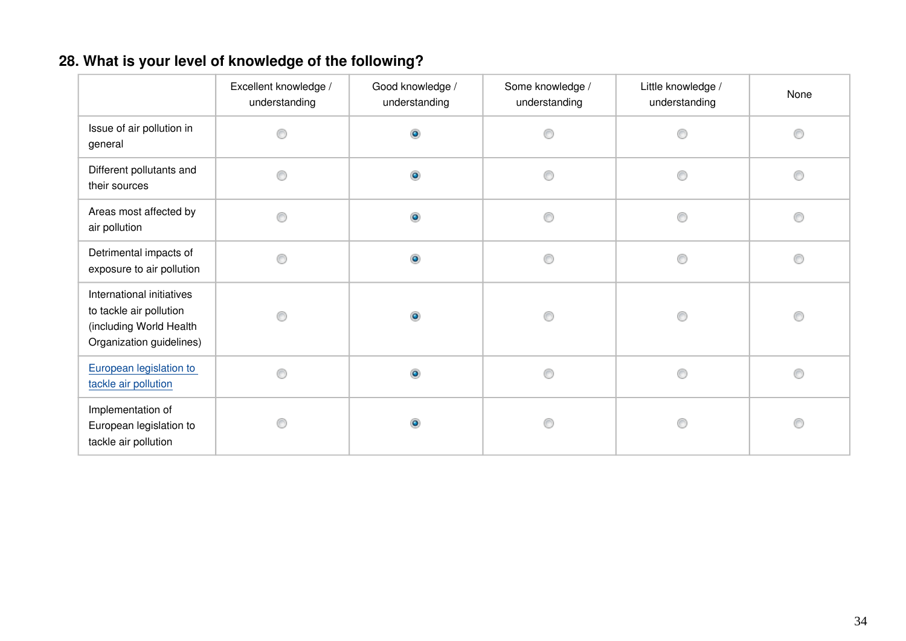### **28. What is your level of knowledge of the following?**

|                                                                                                             | Excellent knowledge /<br>understanding | Good knowledge /<br>understanding | Some knowledge /<br>understanding | Little knowledge /<br>understanding | None |
|-------------------------------------------------------------------------------------------------------------|----------------------------------------|-----------------------------------|-----------------------------------|-------------------------------------|------|
| Issue of air pollution in<br>general                                                                        |                                        | $\bullet$                         | 0                                 | O                                   | ⊙    |
| Different pollutants and<br>their sources                                                                   | ⋒                                      | $\bullet$                         | 0                                 | Ô                                   | ⋒    |
| Areas most affected by<br>air pollution                                                                     | ∩                                      | $\circ$                           | 0                                 | 0                                   | C    |
| Detrimental impacts of<br>exposure to air pollution                                                         | ⊙                                      | $\bullet$                         | $\circledcirc$                    | 0                                   | C    |
| International initiatives<br>to tackle air pollution<br>(including World Health<br>Organization guidelines) | ∩                                      | $\bullet$                         | 0                                 | 0                                   | 0    |
| European legislation to<br>tackle air pollution                                                             |                                        | $\bullet$                         | ⊙                                 | ◉                                   |      |
| Implementation of<br>European legislation to<br>tackle air pollution                                        |                                        | ۵                                 | ⊙                                 | €                                   |      |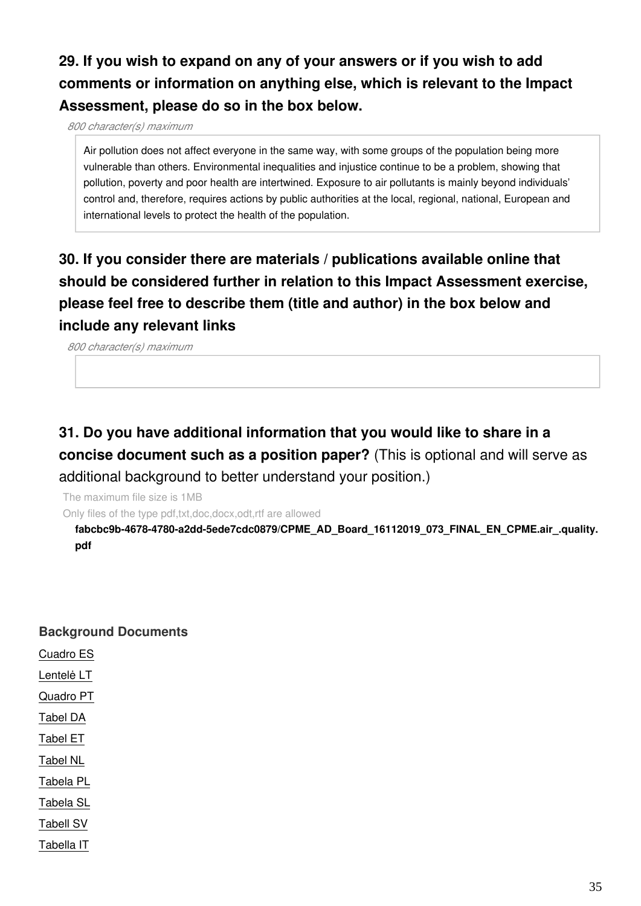### **29. If you wish to expand on any of your answers or if you wish to add comments or information on anything else, which is relevant to the Impact Assessment, please do so in the box below.**

*800 character(s) maximum*

Air pollution does not affect everyone in the same way, with some groups of the population being more vulnerable than others. Environmental inequalities and injustice continue to be a problem, showing that pollution, poverty and poor health are intertwined. Exposure to air pollutants is mainly beyond individuals' control and, therefore, requires actions by public authorities at the local, regional, national, European and international levels to protect the health of the population.

### **30. If you consider there are materials / publications available online that should be considered further in relation to this Impact Assessment exercise, please feel free to describe them (title and author) in the box below and include any relevant links**

*800 character(s) maximum*

### **31. Do you have additional information that you would like to share in a concise document such as a position paper?** (This is optional and will serve as additional background to better understand your position.)

The maximum file size is 1MB

Only files of the type pdf,txt,doc,docx,odt,rtf are allowed

**fabcbc9b-4678-4780-a2dd-5ede7cdc0879/CPME\_AD\_Board\_16112019\_073\_FINAL\_EN\_CPME.air\_.quality. pdf**

#### **Background Documents**

Cuadro ES

Lentelė LT

Quadro PT

Tabel DA

Tabel ET

Tabel NL

Tabela PL

Tabela SL

Tabell SV

Tabella IT